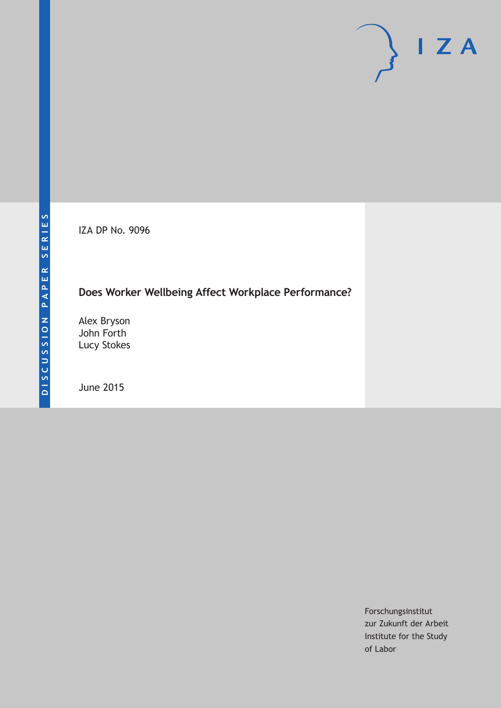IZA DP No. 9096

# **Does Worker Wellbeing Affect Workplace Performance?**

Alex Bryson John Forth Lucy Stokes

June 2015

Forschungsinstitut zur Zukunft der Arbeit Institute for the Study of Labor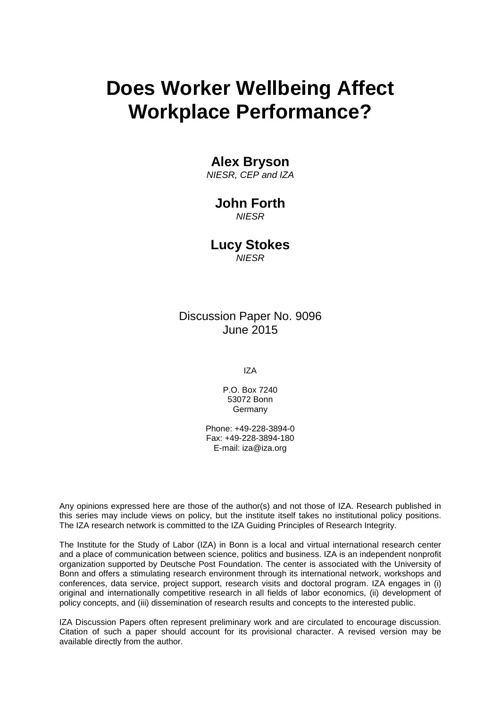# **Does Worker Wellbeing Affect Workplace Performance?**

# **Alex Bryson**

*NIESR, CEP and IZA*

# **John Forth**

*NIESR*

**Lucy Stokes** *NIESR*

Discussion Paper No. 9096 June 2015

IZA

P.O. Box 7240 53072 Bonn **Germany** 

Phone: +49-228-3894-0 Fax: +49-228-3894-180 E-mail: iza@iza.org

Any opinions expressed here are those of the author(s) and not those of IZA. Research published in this series may include views on policy, but the institute itself takes no institutional policy positions. The IZA research network is committed to the IZA Guiding Principles of Research Integrity.

The Institute for the Study of Labor (IZA) in Bonn is a local and virtual international research center and a place of communication between science, politics and business. IZA is an independent nonprofit organization supported by Deutsche Post Foundation. The center is associated with the University of Bonn and offers a stimulating research environment through its international network, workshops and conferences, data service, project support, research visits and doctoral program. IZA engages in (i) original and internationally competitive research in all fields of labor economics, (ii) development of policy concepts, and (iii) dissemination of research results and concepts to the interested public.

<span id="page-1-0"></span>IZA Discussion Papers often represent preliminary work and are circulated to encourage discussion. Citation of such a paper should account for its provisional character. A revised version may be available directly from the author.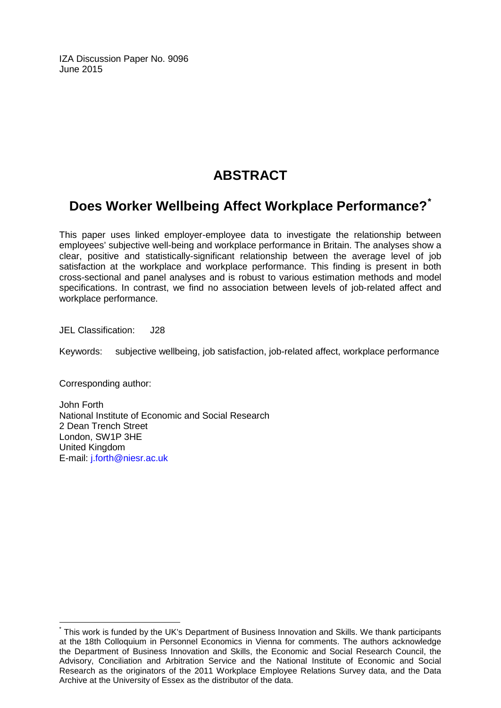IZA Discussion Paper No. 9096 June 2015

# **ABSTRACT**

# **Does Worker Wellbeing Affect Workplace Performance?[\\*](#page-1-0)**

This paper uses linked employer-employee data to investigate the relationship between employees' subjective well-being and workplace performance in Britain. The analyses show a clear, positive and statistically-significant relationship between the average level of job satisfaction at the workplace and workplace performance. This finding is present in both cross-sectional and panel analyses and is robust to various estimation methods and model specifications. In contrast, we find no association between levels of job-related affect and workplace performance.

JEL Classification: J28

Keywords: subjective wellbeing, job satisfaction, job-related affect, workplace performance

Corresponding author:

John Forth National Institute of Economic and Social Research 2 Dean Trench Street London, SW1P 3HE United Kingdom E-mail: [j.forth@niesr.ac.uk](mailto:j.forth@niesr.ac.uk)

\* This work is funded by the UK's Department of Business Innovation and Skills. We thank participants at the 18th Colloquium in Personnel Economics in Vienna for comments. The authors acknowledge the Department of Business Innovation and Skills, the Economic and Social Research Council, the Advisory, Conciliation and Arbitration Service and the National Institute of Economic and Social Research as the originators of the 2011 Workplace Employee Relations Survey data, and the Data Archive at the University of Essex as the distributor of the data.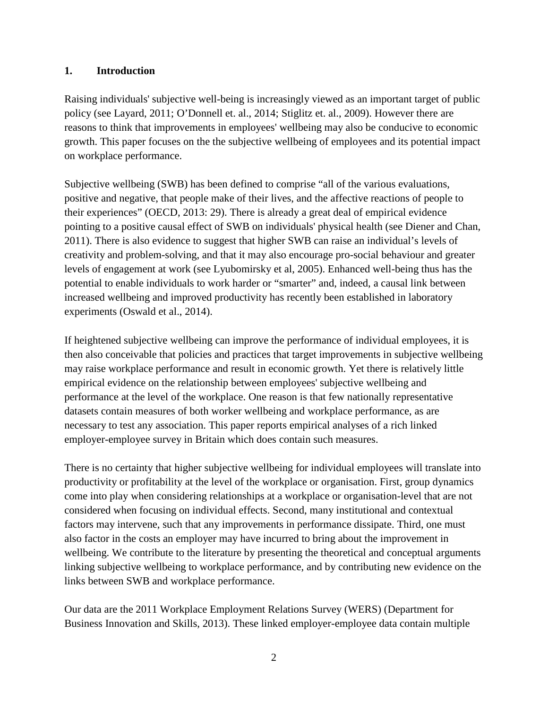# **1. Introduction**

Raising individuals' subjective well-being is increasingly viewed as an important target of public policy (see Layard, 2011; O'Donnell et. al., 2014; Stiglitz et. al., 2009). However there are reasons to think that improvements in employees' wellbeing may also be conducive to economic growth. This paper focuses on the the subjective wellbeing of employees and its potential impact on workplace performance.

Subjective wellbeing (SWB) has been defined to comprise "all of the various evaluations, positive and negative, that people make of their lives, and the affective reactions of people to their experiences" (OECD, 2013: 29). There is already a great deal of empirical evidence pointing to a positive causal effect of SWB on individuals' physical health (see Diener and Chan, 2011). There is also evidence to suggest that higher SWB can raise an individual's levels of creativity and problem-solving, and that it may also encourage pro-social behaviour and greater levels of engagement at work (see Lyubomirsky et al, 2005). Enhanced well-being thus has the potential to enable individuals to work harder or "smarter" and, indeed, a causal link between increased wellbeing and improved productivity has recently been established in laboratory experiments (Oswald et al., 2014).

If heightened subjective wellbeing can improve the performance of individual employees, it is then also conceivable that policies and practices that target improvements in subjective wellbeing may raise workplace performance and result in economic growth. Yet there is relatively little empirical evidence on the relationship between employees' subjective wellbeing and performance at the level of the workplace. One reason is that few nationally representative datasets contain measures of both worker wellbeing and workplace performance, as are necessary to test any association. This paper reports empirical analyses of a rich linked employer-employee survey in Britain which does contain such measures.

There is no certainty that higher subjective wellbeing for individual employees will translate into productivity or profitability at the level of the workplace or organisation. First, group dynamics come into play when considering relationships at a workplace or organisation-level that are not considered when focusing on individual effects. Second, many institutional and contextual factors may intervene, such that any improvements in performance dissipate. Third, one must also factor in the costs an employer may have incurred to bring about the improvement in wellbeing. We contribute to the literature by presenting the theoretical and conceptual arguments linking subjective wellbeing to workplace performance, and by contributing new evidence on the links between SWB and workplace performance.

Our data are the 2011 Workplace Employment Relations Survey (WERS) (Department for Business Innovation and Skills, 2013). These linked employer-employee data contain multiple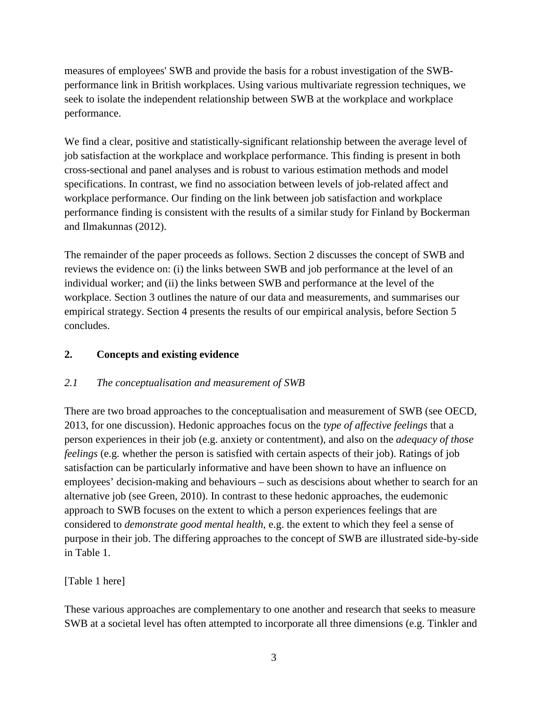measures of employees' SWB and provide the basis for a robust investigation of the SWBperformance link in British workplaces. Using various multivariate regression techniques, we seek to isolate the independent relationship between SWB at the workplace and workplace performance.

We find a clear, positive and statistically-significant relationship between the average level of job satisfaction at the workplace and workplace performance. This finding is present in both cross-sectional and panel analyses and is robust to various estimation methods and model specifications. In contrast, we find no association between levels of job-related affect and workplace performance. Our finding on the link between job satisfaction and workplace performance finding is consistent with the results of a similar study for Finland by Bockerman and Ilmakunnas (2012).

The remainder of the paper proceeds as follows. Section 2 discusses the concept of SWB and reviews the evidence on: (i) the links between SWB and job performance at the level of an individual worker; and (ii) the links between SWB and performance at the level of the workplace. Section 3 outlines the nature of our data and measurements, and summarises our empirical strategy. Section 4 presents the results of our empirical analysis, before Section 5 concludes.

# **2. Concepts and existing evidence**

# *2.1 The conceptualisation and measurement of SWB*

There are two broad approaches to the conceptualisation and measurement of SWB (see OECD, 2013, for one discussion). Hedonic approaches focus on the *type of affective feelings* that a person experiences in their job (e.g. anxiety or contentment), and also on the *adequacy of those feelings* (e.g. whether the person is satisfied with certain aspects of their job). Ratings of job satisfaction can be particularly informative and have been shown to have an influence on employees' decision-making and behaviours – such as descisions about whether to search for an alternative job (see Green, 2010). In contrast to these hedonic approaches, the eudemonic approach to SWB focuses on the extent to which a person experiences feelings that are considered to *demonstrate good mental health*, e.g. the extent to which they feel a sense of purpose in their job. The differing approaches to the concept of SWB are illustrated side-by-side in Table 1.

# [Table 1 here]

These various approaches are complementary to one another and research that seeks to measure SWB at a societal level has often attempted to incorporate all three dimensions (e.g. Tinkler and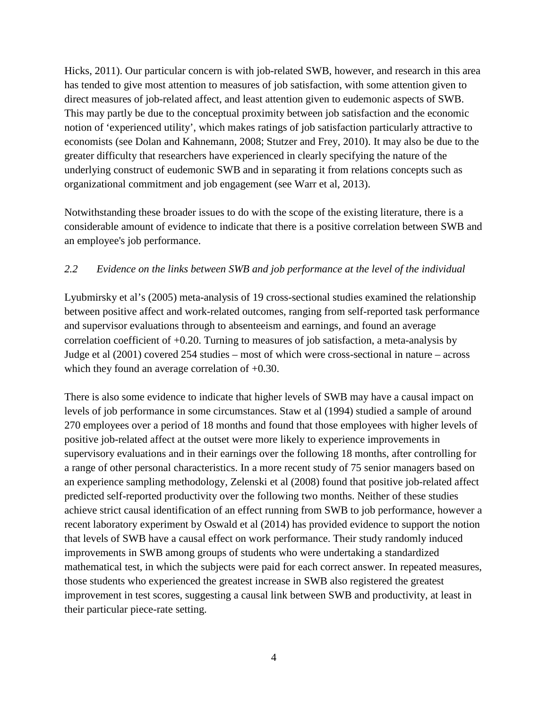Hicks, 2011). Our particular concern is with job-related SWB, however, and research in this area has tended to give most attention to measures of job satisfaction, with some attention given to direct measures of job-related affect, and least attention given to eudemonic aspects of SWB. This may partly be due to the conceptual proximity between job satisfaction and the economic notion of 'experienced utility', which makes ratings of job satisfaction particularly attractive to economists (see Dolan and Kahnemann, 2008; Stutzer and Frey, 2010). It may also be due to the greater difficulty that researchers have experienced in clearly specifying the nature of the underlying construct of eudemonic SWB and in separating it from relations concepts such as organizational commitment and job engagement (see Warr et al, 2013).

Notwithstanding these broader issues to do with the scope of the existing literature, there is a considerable amount of evidence to indicate that there is a positive correlation between SWB and an employee's job performance.

# *2.2 Evidence on the links between SWB and job performance at the level of the individual*

Lyubmirsky et al's (2005) meta-analysis of 19 cross-sectional studies examined the relationship between positive affect and work-related outcomes, ranging from self-reported task performance and supervisor evaluations through to absenteeism and earnings, and found an average correlation coefficient of  $+0.20$ . Turning to measures of job satisfaction, a meta-analysis by Judge et al (2001) covered 254 studies – most of which were cross-sectional in nature – across which they found an average correlation of  $+0.30$ .

There is also some evidence to indicate that higher levels of SWB may have a causal impact on levels of job performance in some circumstances. Staw et al (1994) studied a sample of around 270 employees over a period of 18 months and found that those employees with higher levels of positive job-related affect at the outset were more likely to experience improvements in supervisory evaluations and in their earnings over the following 18 months, after controlling for a range of other personal characteristics. In a more recent study of 75 senior managers based on an experience sampling methodology, Zelenski et al (2008) found that positive job-related affect predicted self-reported productivity over the following two months. Neither of these studies achieve strict causal identification of an effect running from SWB to job performance, however a recent laboratory experiment by Oswald et al (2014) has provided evidence to support the notion that levels of SWB have a causal effect on work performance. Their study randomly induced improvements in SWB among groups of students who were undertaking a standardized mathematical test, in which the subjects were paid for each correct answer. In repeated measures, those students who experienced the greatest increase in SWB also registered the greatest improvement in test scores, suggesting a causal link between SWB and productivity, at least in their particular piece-rate setting.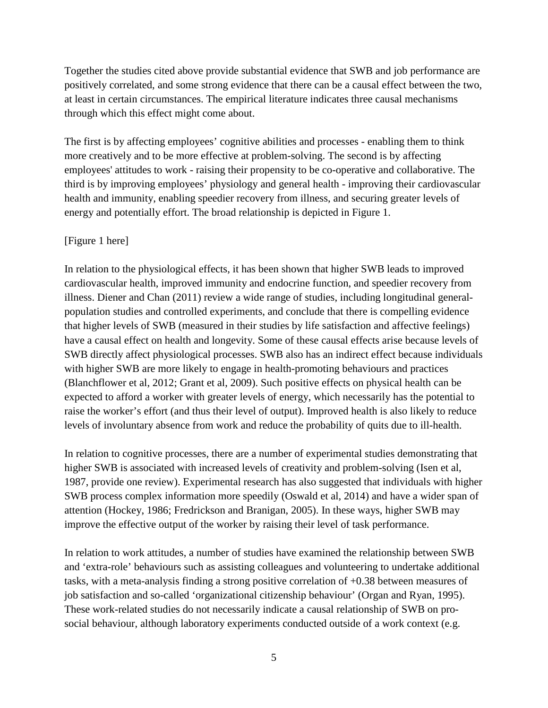Together the studies cited above provide substantial evidence that SWB and job performance are positively correlated, and some strong evidence that there can be a causal effect between the two, at least in certain circumstances. The empirical literature indicates three causal mechanisms through which this effect might come about.

The first is by affecting employees' cognitive abilities and processes - enabling them to think more creatively and to be more effective at problem-solving. The second is by affecting employees' attitudes to work - raising their propensity to be co-operative and collaborative. The third is by improving employees' physiology and general health - improving their cardiovascular health and immunity, enabling speedier recovery from illness, and securing greater levels of energy and potentially effort. The broad relationship is depicted in [Figure 1.](#page-25-0)

#### [\[Figure 1](#page-25-0) here]

In relation to the physiological effects, it has been shown that higher SWB leads to improved cardiovascular health, improved immunity and endocrine function, and speedier recovery from illness. Diener and Chan (2011) review a wide range of studies, including longitudinal generalpopulation studies and controlled experiments, and conclude that there is compelling evidence that higher levels of SWB (measured in their studies by life satisfaction and affective feelings) have a causal effect on health and longevity. Some of these causal effects arise because levels of SWB directly affect physiological processes. SWB also has an indirect effect because individuals with higher SWB are more likely to engage in health-promoting behaviours and practices (Blanchflower et al, 2012; Grant et al, 2009). Such positive effects on physical health can be expected to afford a worker with greater levels of energy, which necessarily has the potential to raise the worker's effort (and thus their level of output). Improved health is also likely to reduce levels of involuntary absence from work and reduce the probability of quits due to ill-health.

In relation to cognitive processes, there are a number of experimental studies demonstrating that higher SWB is associated with increased levels of creativity and problem-solving (Isen et al, 1987, provide one review). Experimental research has also suggested that individuals with higher SWB process complex information more speedily (Oswald et al, 2014) and have a wider span of attention (Hockey, 1986; Fredrickson and Branigan, 2005). In these ways, higher SWB may improve the effective output of the worker by raising their level of task performance.

In relation to work attitudes, a number of studies have examined the relationship between SWB and 'extra-role' behaviours such as assisting colleagues and volunteering to undertake additional tasks, with a meta-analysis finding a strong positive correlation of +0.38 between measures of job satisfaction and so-called 'organizational citizenship behaviour' (Organ and Ryan, 1995). These work-related studies do not necessarily indicate a causal relationship of SWB on prosocial behaviour, although laboratory experiments conducted outside of a work context (e.g.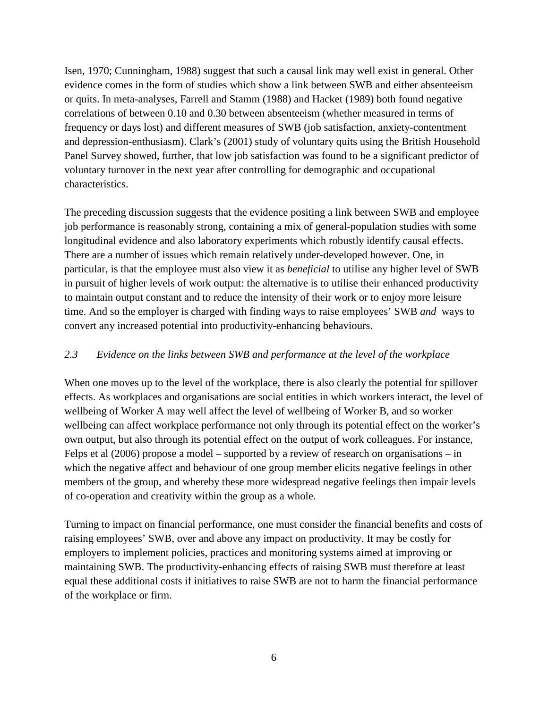Isen, 1970; Cunningham, 1988) suggest that such a causal link may well exist in general. Other evidence comes in the form of studies which show a link between SWB and either absenteeism or quits. In meta-analyses, Farrell and Stamm (1988) and Hacket (1989) both found negative correlations of between 0.10 and 0.30 between absenteeism (whether measured in terms of frequency or days lost) and different measures of SWB (job satisfaction, anxiety-contentment and depression-enthusiasm). Clark's (2001) study of voluntary quits using the British Household Panel Survey showed, further, that low job satisfaction was found to be a significant predictor of voluntary turnover in the next year after controlling for demographic and occupational characteristics.

The preceding discussion suggests that the evidence positing a link between SWB and employee job performance is reasonably strong, containing a mix of general-population studies with some longitudinal evidence and also laboratory experiments which robustly identify causal effects. There are a number of issues which remain relatively under-developed however. One, in particular, is that the employee must also view it as *beneficial* to utilise any higher level of SWB in pursuit of higher levels of work output: the alternative is to utilise their enhanced productivity to maintain output constant and to reduce the intensity of their work or to enjoy more leisure time. And so the employer is charged with finding ways to raise employees' SWB *and* ways to convert any increased potential into productivity-enhancing behaviours.

# *2.3 Evidence on the links between SWB and performance at the level of the workplace*

When one moves up to the level of the workplace, there is also clearly the potential for spillover effects. As workplaces and organisations are social entities in which workers interact, the level of wellbeing of Worker A may well affect the level of wellbeing of Worker B, and so worker wellbeing can affect workplace performance not only through its potential effect on the worker's own output, but also through its potential effect on the output of work colleagues. For instance, Felps et al (2006) propose a model – supported by a review of research on organisations – in which the negative affect and behaviour of one group member elicits negative feelings in other members of the group, and whereby these more widespread negative feelings then impair levels of co-operation and creativity within the group as a whole.

Turning to impact on financial performance, one must consider the financial benefits and costs of raising employees' SWB, over and above any impact on productivity. It may be costly for employers to implement policies, practices and monitoring systems aimed at improving or maintaining SWB. The productivity-enhancing effects of raising SWB must therefore at least equal these additional costs if initiatives to raise SWB are not to harm the financial performance of the workplace or firm.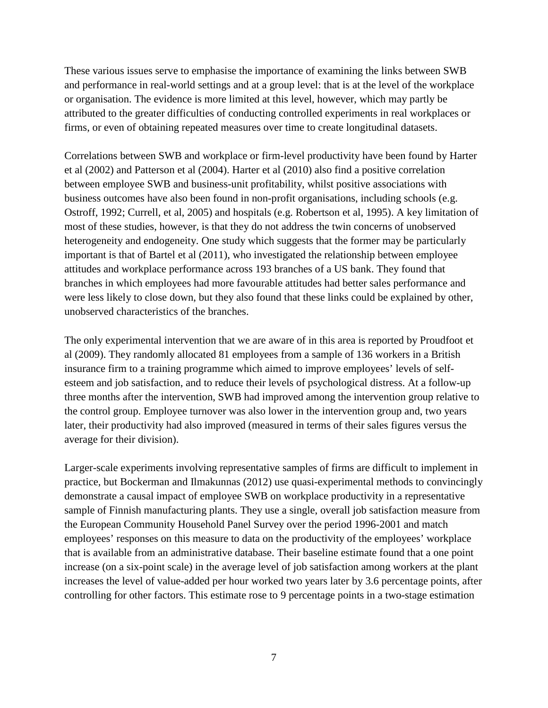These various issues serve to emphasise the importance of examining the links between SWB and performance in real-world settings and at a group level: that is at the level of the workplace or organisation. The evidence is more limited at this level, however, which may partly be attributed to the greater difficulties of conducting controlled experiments in real workplaces or firms, or even of obtaining repeated measures over time to create longitudinal datasets.

Correlations between SWB and workplace or firm-level productivity have been found by Harter et al (2002) and Patterson et al (2004). Harter et al (2010) also find a positive correlation between employee SWB and business-unit profitability, whilst positive associations with business outcomes have also been found in non-profit organisations, including schools (e.g. Ostroff, 1992; Currell, et al, 2005) and hospitals (e.g. Robertson et al, 1995). A key limitation of most of these studies, however, is that they do not address the twin concerns of unobserved heterogeneity and endogeneity. One study which suggests that the former may be particularly important is that of Bartel et al (2011), who investigated the relationship between employee attitudes and workplace performance across 193 branches of a US bank. They found that branches in which employees had more favourable attitudes had better sales performance and were less likely to close down, but they also found that these links could be explained by other, unobserved characteristics of the branches.

The only experimental intervention that we are aware of in this area is reported by Proudfoot et al (2009). They randomly allocated 81 employees from a sample of 136 workers in a British insurance firm to a training programme which aimed to improve employees' levels of selfesteem and job satisfaction, and to reduce their levels of psychological distress. At a follow-up three months after the intervention, SWB had improved among the intervention group relative to the control group. Employee turnover was also lower in the intervention group and, two years later, their productivity had also improved (measured in terms of their sales figures versus the average for their division).

Larger-scale experiments involving representative samples of firms are difficult to implement in practice, but Bockerman and Ilmakunnas (2012) use quasi-experimental methods to convincingly demonstrate a causal impact of employee SWB on workplace productivity in a representative sample of Finnish manufacturing plants. They use a single, overall job satisfaction measure from the European Community Household Panel Survey over the period 1996-2001 and match employees' responses on this measure to data on the productivity of the employees' workplace that is available from an administrative database. Their baseline estimate found that a one point increase (on a six-point scale) in the average level of job satisfaction among workers at the plant increases the level of value-added per hour worked two years later by 3.6 percentage points, after controlling for other factors. This estimate rose to 9 percentage points in a two-stage estimation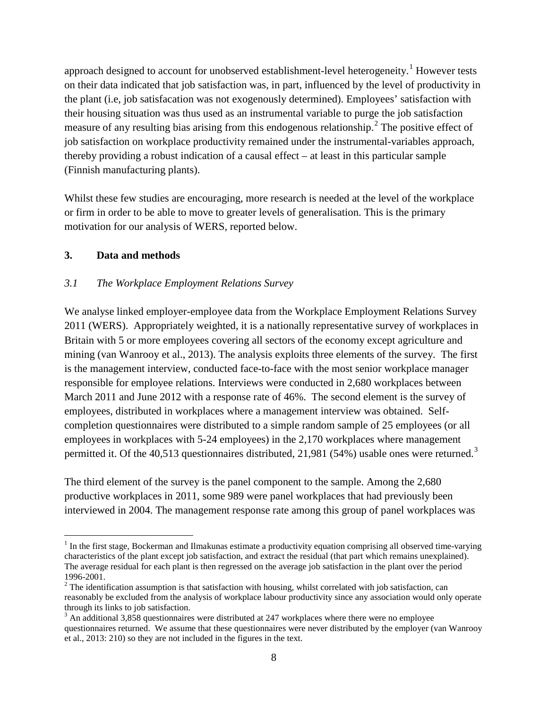approach designed to account for unobserved establishment-level heterogeneity.<sup>1</sup> However tests on their data indicated that job satisfaction was, in part, influenced by the level of productivity in the plant (i.e, job satisfacation was not exogenously determined). Employees' satisfaction with their housing situation was thus used as an instrumental variable to purge the job satisfaction measure of any resulting bias arising from this endogenous relationship.<sup>[2](#page-9-0)</sup> The positive effect of job satisfaction on workplace productivity remained under the instrumental-variables approach, thereby providing a robust indication of a causal effect – at least in this particular sample (Finnish manufacturing plants).

Whilst these few studies are encouraging, more research is needed at the level of the workplace or firm in order to be able to move to greater levels of generalisation. This is the primary motivation for our analysis of WERS, reported below.

### **3. Data and methods**

#### *3.1 The Workplace Employment Relations Survey*

We analyse linked employer-employee data from the Workplace Employment Relations Survey 2011 (WERS). Appropriately weighted, it is a nationally representative survey of workplaces in Britain with 5 or more employees covering all sectors of the economy except agriculture and mining (van Wanrooy et al., 2013). The analysis exploits three elements of the survey. The first is the management interview, conducted face-to-face with the most senior workplace manager responsible for employee relations. Interviews were conducted in 2,680 workplaces between March 2011 and June 2012 with a response rate of 46%. The second element is the survey of employees, distributed in workplaces where a management interview was obtained. Selfcompletion questionnaires were distributed to a simple random sample of 25 employees (or all employees in workplaces with 5-24 employees) in the 2,170 workplaces where management permitted it. Of the 40,51[3](#page-9-1) questionnaires distributed, 21,981 (54%) usable ones were returned.<sup>3</sup>

The third element of the survey is the panel component to the sample. Among the 2,680 productive workplaces in 2011, some 989 were panel workplaces that had previously been interviewed in 2004. The management response rate among this group of panel workplaces was

 $<sup>1</sup>$  In the first stage, Bockerman and Ilmakunas estimate a productivity equation comprising all observed time-varying</sup> characteristics of the plant except job satisfaction, and extract the residual (that part which remains unexplained). The average residual for each plant is then regressed on the average job satisfaction in the plant over the period 1996-2001.<br><sup>2</sup> The identification assumption is that satisfaction with housing, whilst correlated with job satisfaction, can

<span id="page-9-0"></span>reasonably be excluded from the analysis of workplace labour productivity since any association would only operate through its links to job satisfaction.

<span id="page-9-2"></span><span id="page-9-1"></span> $3$  An additional 3,858 questionnaires were distributed at 247 workplaces where there were no employee questionnaires returned. We assume that these questionnaires were never distributed by the employer (van Wanrooy et al., 2013: 210) so they are not included in the figures in the text.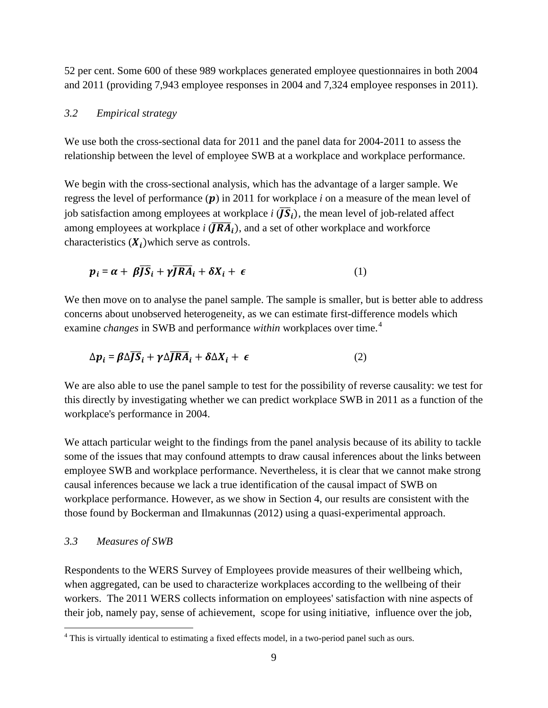52 per cent. Some 600 of these 989 workplaces generated employee questionnaires in both 2004 and 2011 (providing 7,943 employee responses in 2004 and 7,324 employee responses in 2011).

#### *3.2 Empirical strategy*

We use both the cross-sectional data for 2011 and the panel data for 2004-2011 to assess the relationship between the level of employee SWB at a workplace and workplace performance.

We begin with the cross-sectional analysis, which has the advantage of a larger sample. We regress the level of performance  $(p)$  in 2011 for workplace *i* on a measure of the mean level of job satisfaction among employees at workplace *i*  $(\overline{JS}_i)$ , the mean level of job-related affect among employees at workplace  $i$   $(\overline{JRA}_i)$ , and a set of other workplace and workforce characteristics  $(X_i)$  which serve as controls.

$$
p_i = \alpha + \beta \overline{JS}_i + \gamma \overline{JRA}_i + \delta X_i + \epsilon
$$
 (1)

We then move on to analyse the panel sample. The sample is smaller, but is better able to address concerns about unobserved heterogeneity, as we can estimate first-difference models which examine *changes* in SWB and performance *within* workplaces over time. [4](#page-9-2)

$$
\Delta p_i = \beta \Delta \overline{JS}_i + \gamma \Delta \overline{JRA}_i + \delta \Delta X_i + \epsilon
$$
 (2)

We are also able to use the panel sample to test for the possibility of reverse causality: we test for this directly by investigating whether we can predict workplace SWB in 2011 as a function of the workplace's performance in 2004.

We attach particular weight to the findings from the panel analysis because of its ability to tackle some of the issues that may confound attempts to draw causal inferences about the links between employee SWB and workplace performance. Nevertheless, it is clear that we cannot make strong causal inferences because we lack a true identification of the causal impact of SWB on workplace performance. However, as we show in Section 4, our results are consistent with the those found by Bockerman and Ilmakunnas (2012) using a quasi-experimental approach.

#### *3.3 Measures of SWB*

<span id="page-10-0"></span>Respondents to the WERS Survey of Employees provide measures of their wellbeing which, when aggregated, can be used to characterize workplaces according to the wellbeing of their workers. The 2011 WERS collects information on employees' satisfaction with nine aspects of their job, namely pay, sense of achievement, scope for using initiative, influence over the job,

<sup>&</sup>lt;sup>4</sup> This is virtually identical to estimating a fixed effects model, in a two-period panel such as ours.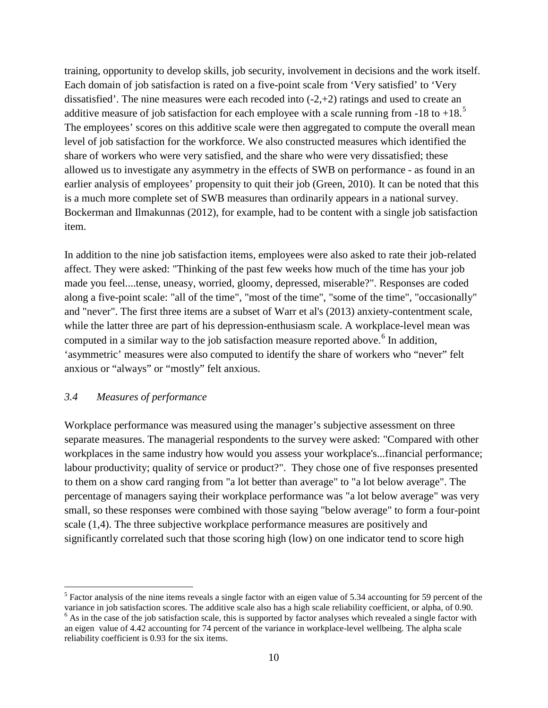training, opportunity to develop skills, job security, involvement in decisions and the work itself. Each domain of job satisfaction is rated on a five-point scale from 'Very satisfied' to 'Very dissatisfied'. The nine measures were each recoded into (-2,+2) ratings and used to create an additive measure of job satisfaction for each employee with a scale running from -18 to +18.<sup>[5](#page-10-0)</sup> The employees' scores on this additive scale were then aggregated to compute the overall mean level of job satisfaction for the workforce. We also constructed measures which identified the share of workers who were very satisfied, and the share who were very dissatisfied; these allowed us to investigate any asymmetry in the effects of SWB on performance - as found in an earlier analysis of employees' propensity to quit their job (Green, 2010). It can be noted that this is a much more complete set of SWB measures than ordinarily appears in a national survey. Bockerman and Ilmakunnas (2012), for example, had to be content with a single job satisfaction item.

In addition to the nine job satisfaction items, employees were also asked to rate their job-related affect. They were asked: "Thinking of the past few weeks how much of the time has your job made you feel....tense, uneasy, worried, gloomy, depressed, miserable?". Responses are coded along a five-point scale: "all of the time", "most of the time", "some of the time", "occasionally" and "never". The first three items are a subset of Warr et al's (2013) anxiety-contentment scale, while the latter three are part of his depression-enthusiasm scale. A workplace-level mean was computed in a similar way to the job satisfaction measure reported above. [6](#page-11-0) In addition, 'asymmetric' measures were also computed to identify the share of workers who "never" felt anxious or "always" or "mostly" felt anxious.

### *3.4 Measures of performance*

Workplace performance was measured using the manager's subjective assessment on three separate measures. The managerial respondents to the survey were asked: "Compared with other workplaces in the same industry how would you assess your workplace's...financial performance; labour productivity; quality of service or product?". They chose one of five responses presented to them on a show card ranging from "a lot better than average" to "a lot below average". The percentage of managers saying their workplace performance was "a lot below average" was very small, so these responses were combined with those saying "below average" to form a four-point scale (1,4). The three subjective workplace performance measures are positively and significantly correlated such that those scoring high (low) on one indicator tend to score high

 $<sup>5</sup>$  Factor analysis of the nine items reveals a single factor with an eigen value of 5.34 accounting for 59 percent of the variance in job satisfaction scores. The additive scale also has a high scale reliability co</sup>

<span id="page-11-1"></span><span id="page-11-0"></span> $6$  As in the case of the job satisfaction scale, this is supported by factor analyses which revealed a single factor with an eigen value of 4.42 accounting for 74 percent of the variance in workplace-level wellbeing. The alpha scale reliability coefficient is 0.93 for the six items.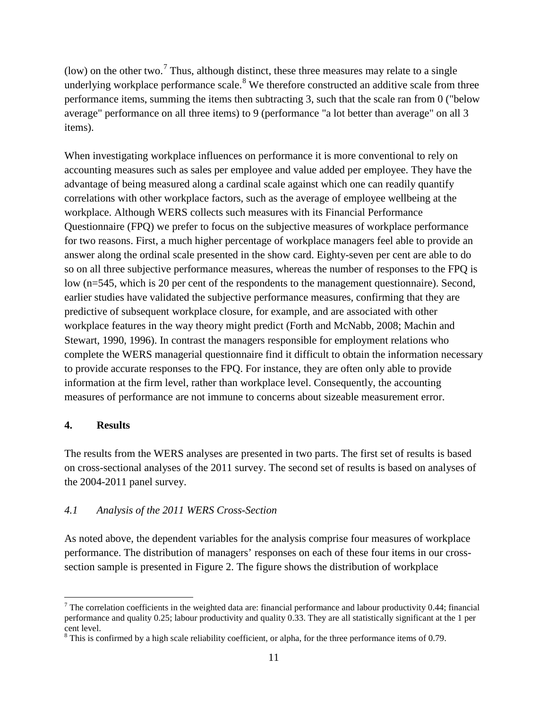(low) on the other two.<sup>[7](#page-11-1)</sup> Thus, although distinct, these three measures may relate to a single underlying workplace performance scale.<sup>[8](#page-12-0)</sup> We therefore constructed an additive scale from three performance items, summing the items then subtracting 3, such that the scale ran from 0 ("below average" performance on all three items) to 9 (performance "a lot better than average" on all 3 items).

When investigating workplace influences on performance it is more conventional to rely on accounting measures such as sales per employee and value added per employee. They have the advantage of being measured along a cardinal scale against which one can readily quantify correlations with other workplace factors, such as the average of employee wellbeing at the workplace. Although WERS collects such measures with its Financial Performance Questionnaire (FPQ) we prefer to focus on the subjective measures of workplace performance for two reasons. First, a much higher percentage of workplace managers feel able to provide an answer along the ordinal scale presented in the show card. Eighty-seven per cent are able to do so on all three subjective performance measures, whereas the number of responses to the FPQ is low (n=545, which is 20 per cent of the respondents to the management questionnaire). Second, earlier studies have validated the subjective performance measures, confirming that they are predictive of subsequent workplace closure, for example, and are associated with other workplace features in the way theory might predict (Forth and McNabb, 2008; Machin and Stewart, 1990, 1996). In contrast the managers responsible for employment relations who complete the WERS managerial questionnaire find it difficult to obtain the information necessary to provide accurate responses to the FPQ. For instance, they are often only able to provide information at the firm level, rather than workplace level. Consequently, the accounting measures of performance are not immune to concerns about sizeable measurement error.

# **4. Results**

The results from the WERS analyses are presented in two parts. The first set of results is based on cross-sectional analyses of the 2011 survey. The second set of results is based on analyses of the 2004-2011 panel survey.

# *4.1 Analysis of the 2011 WERS Cross-Section*

<span id="page-12-1"></span>As noted above, the dependent variables for the analysis comprise four measures of workplace performance. The distribution of managers' responses on each of these four items in our crosssection sample is presented in [Figure 2.](#page-26-0) The figure shows the distribution of workplace

 $<sup>7</sup>$  The correlation coefficients in the weighted data are: financial performance and labour productivity 0.44; financial</sup> performance and quality 0.25; labour productivity and quality 0.33. They are all statistically significant at the 1 per cent level.

<span id="page-12-0"></span><sup>&</sup>lt;sup>8</sup> This is confirmed by a high scale reliability coefficient, or alpha, for the three performance items of 0.79.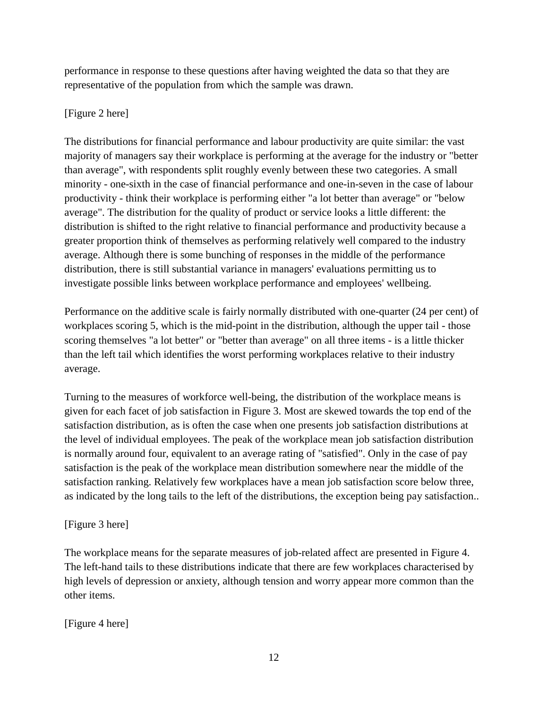performance in response to these questions after having weighted the data so that they are representative of the population from which the sample was drawn.

# [\[Figure 2](#page-26-0) here]

The distributions for financial performance and labour productivity are quite similar: the vast majority of managers say their workplace is performing at the average for the industry or "better than average", with respondents split roughly evenly between these two categories. A small minority - one-sixth in the case of financial performance and one-in-seven in the case of labour productivity - think their workplace is performing either "a lot better than average" or "below average". The distribution for the quality of product or service looks a little different: the distribution is shifted to the right relative to financial performance and productivity because a greater proportion think of themselves as performing relatively well compared to the industry average. Although there is some bunching of responses in the middle of the performance distribution, there is still substantial variance in managers' evaluations permitting us to investigate possible links between workplace performance and employees' wellbeing.

Performance on the additive scale is fairly normally distributed with one-quarter (24 per cent) of workplaces scoring 5, which is the mid-point in the distribution, although the upper tail - those scoring themselves "a lot better" or "better than average" on all three items - is a little thicker than the left tail which identifies the worst performing workplaces relative to their industry average.

Turning to the measures of workforce well-being, the distribution of the workplace means is given for each facet of job satisfaction in [Figure 3.](#page-26-1) Most are skewed towards the top end of the satisfaction distribution, as is often the case when one presents job satisfaction distributions at the level of individual employees. The peak of the workplace mean job satisfaction distribution is normally around four, equivalent to an average rating of "satisfied". Only in the case of pay satisfaction is the peak of the workplace mean distribution somewhere near the middle of the satisfaction ranking. Relatively few workplaces have a mean job satisfaction score below three, as indicated by the long tails to the left of the distributions, the exception being pay satisfaction..

# [\[Figure 3](#page-26-1) here]

The workplace means for the separate measures of job-related affect are presented in [Figure 4.](#page-27-0) The left-hand tails to these distributions indicate that there are few workplaces characterised by high levels of depression or anxiety, although tension and worry appear more common than the other items.

[\[Figure 4](#page-27-0) here]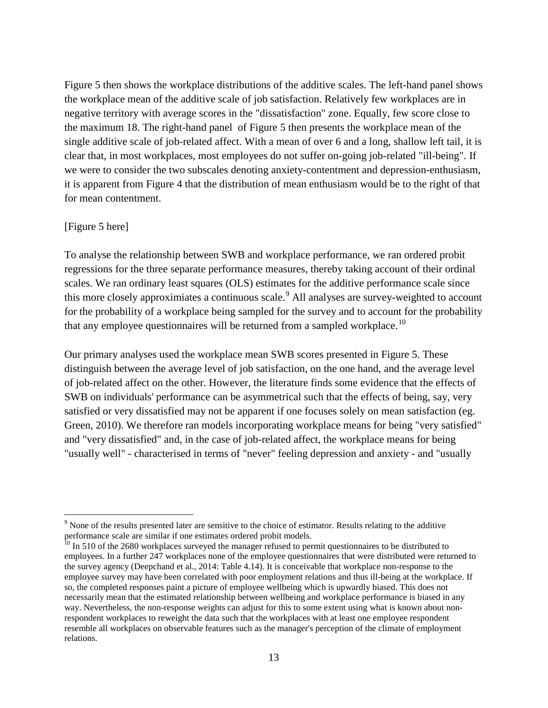[Figure 5](#page-27-1) then shows the workplace distributions of the additive scales. The left-hand panel shows the workplace mean of the additive scale of job satisfaction. Relatively few workplaces are in negative territory with average scores in the "dissatisfaction" zone. Equally, few score close to the maximum 18. The right-hand panel of [Figure 5](#page-27-1) then presents the workplace mean of the single additive scale of job-related affect. With a mean of over 6 and a long, shallow left tail, it is clear that, in most workplaces, most employees do not suffer on-going job-related "ill-being". If we were to consider the two subscales denoting anxiety-contentment and depression-enthusiasm, it is apparent from [Figure 4](#page-27-0) that the distribution of mean enthusiasm would be to the right of that for mean contentment.

#### [\[Figure 5](#page-27-1) here]

To analyse the relationship between SWB and workplace performance, we ran ordered probit regressions for the three separate performance measures, thereby taking account of their ordinal scales. We ran ordinary least squares (OLS) estimates for the additive performance scale since this more closely approximiates a continuous scale.<sup>[9](#page-12-1)</sup> All analyses are survey-weighted to account for the probability of a workplace being sampled for the survey and to account for the probability that any employee questionnaires will be returned from a sampled workplace.<sup>[10](#page-14-0)</sup>

Our primary analyses used the workplace mean SWB scores presented in [Figure 5.](#page-27-1) These distinguish between the average level of job satisfaction, on the one hand, and the average level of job-related affect on the other. However, the literature finds some evidence that the effects of SWB on individuals' performance can be asymmetrical such that the effects of being, say, very satisfied or very dissatisfied may not be apparent if one focuses solely on mean satisfaction (eg. Green, 2010). We therefore ran models incorporating workplace means for being "very satisfied" and "very dissatisfied" and, in the case of job-related affect, the workplace means for being "usually well" - characterised in terms of "never" feeling depression and anxiety - and "usually

<sup>&</sup>lt;sup>9</sup> None of the results presented later are sensitive to the choice of estimator. Results relating to the additive performance scale are similar if one estimates ordered probit models.

<span id="page-14-1"></span><span id="page-14-0"></span> $10$  In 510 of the 2680 workplaces surveyed the manager refused to permit questionnaires to be distributed to employees. In a further 247 workplaces none of the employee questionnaires that were distributed were returned to the survey agency (Deepchand et al., 2014: Table 4.14). It is conceivable that workplace non-response to the employee survey may have been correlated with poor employment relations and thus ill-being at the workplace. If so, the completed responses paint a picture of employee wellbeing which is upwardly biased. This does not necessarily mean that the estimated relationship between wellbeing and workplace performance is biased in any way. Nevertheless, the non-response weights can adjust for this to some extent using what is known about nonrespondent workplaces to reweight the data such that the workplaces with at least one employee respondent resemble all workplaces on observable features such as the manager's perception of the climate of employment relations.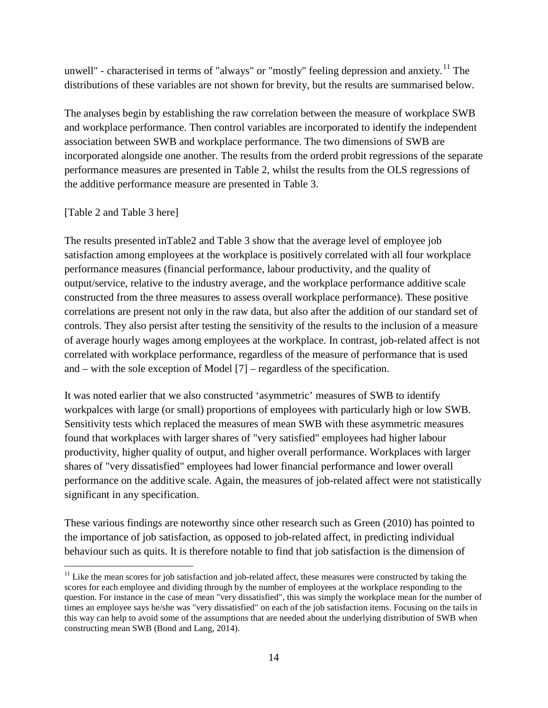unwell" - characterised in terms of "always" or "mostly" feeling depression and anxiety.<sup>[11](#page-14-1)</sup> The distributions of these variables are not shown for brevity, but the results are summarised below.

The analyses begin by establishing the raw correlation between the measure of workplace SWB and workplace performance. Then control variables are incorporated to identify the independent association between SWB and workplace performance. The two dimensions of SWB are incorporated alongside one another. The results from the orderd probit regressions of the separate performance measures are presented in Table 2, whilst the results from the OLS regressions of the additive performance measure are presented in Table 3.

# [Table 2 and Table 3 here]

The results presented inTable2 and Table 3 show that the average level of employee job satisfaction among employees at the workplace is positively correlated with all four workplace performance measures (financial performance, labour productivity, and the quality of output/service, relative to the industry average, and the workplace performance additive scale constructed from the three measures to assess overall workplace performance). These positive correlations are present not only in the raw data, but also after the addition of our standard set of controls. They also persist after testing the sensitivity of the results to the inclusion of a measure of average hourly wages among employees at the workplace. In contrast, job-related affect is not correlated with workplace performance, regardless of the measure of performance that is used and – with the sole exception of Model [7] – regardless of the specification.

It was noted earlier that we also constructed 'asymmetric' measures of SWB to identify workpalces with large (or small) proportions of employees with particularly high or low SWB. Sensitivity tests which replaced the measures of mean SWB with these asymmetric measures found that workplaces with larger shares of "very satisfied" employees had higher labour productivity, higher quality of output, and higher overall performance. Workplaces with larger shares of "very dissatisfied" employees had lower financial performance and lower overall performance on the additive scale. Again, the measures of job-related affect were not statistically significant in any specification.

These various findings are noteworthy since other research such as Green (2010) has pointed to the importance of job satisfaction, as opposed to job-related affect, in predicting individual behaviour such as quits. It is therefore notable to find that job satisfaction is the dimension of

<span id="page-15-0"></span> $11$  Like the mean scores for job satisfaction and job-related affect, these measures were constructed by taking the scores for each employee and dividing through by the number of employees at the workplace responding to the question. For instance in the case of mean "very dissatisfied", this was simply the workplace mean for the number of times an employee says he/she was "very dissatisfied" on each of the job satisfaction items. Focusing on the tails in this way can help to avoid some of the assumptions that are needed about the underlying distribution of SWB when constructing mean SWB (Bond and Lang, 2014).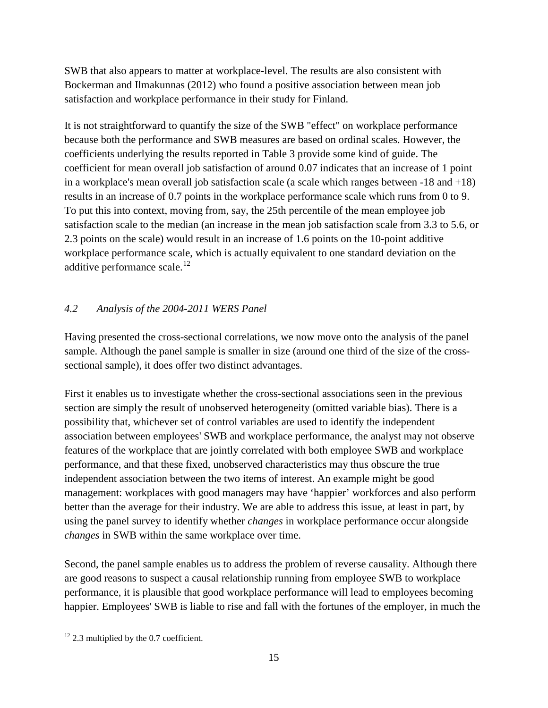SWB that also appears to matter at workplace-level. The results are also consistent with Bockerman and Ilmakunnas (2012) who found a positive association between mean job satisfaction and workplace performance in their study for Finland.

It is not straightforward to quantify the size of the SWB "effect" on workplace performance because both the performance and SWB measures are based on ordinal scales. However, the coefficients underlying the results reported in [Table 3](#page-32-0) provide some kind of guide. The coefficient for mean overall job satisfaction of around 0.07 indicates that an increase of 1 point in a workplace's mean overall job satisfaction scale (a scale which ranges between -18 and +18) results in an increase of 0.7 points in the workplace performance scale which runs from 0 to 9. To put this into context, moving from, say, the 25th percentile of the mean employee job satisfaction scale to the median (an increase in the mean job satisfaction scale from 3.3 to 5.6, or 2.3 points on the scale) would result in an increase of 1.6 points on the 10-point additive workplace performance scale, which is actually equivalent to one standard deviation on the additive performance scale. $^{12}$  $^{12}$  $^{12}$ 

# *4.2 Analysis of the 2004-2011 WERS Panel*

Having presented the cross-sectional correlations, we now move onto the analysis of the panel sample. Although the panel sample is smaller in size (around one third of the size of the crosssectional sample), it does offer two distinct advantages.

First it enables us to investigate whether the cross-sectional associations seen in the previous section are simply the result of unobserved heterogeneity (omitted variable bias). There is a possibility that, whichever set of control variables are used to identify the independent association between employees' SWB and workplace performance, the analyst may not observe features of the workplace that are jointly correlated with both employee SWB and workplace performance, and that these fixed, unobserved characteristics may thus obscure the true independent association between the two items of interest. An example might be good management: workplaces with good managers may have 'happier' workforces and also perform better than the average for their industry. We are able to address this issue, at least in part, by using the panel survey to identify whether *changes* in workplace performance occur alongside *changes* in SWB within the same workplace over time.

<span id="page-16-0"></span>Second, the panel sample enables us to address the problem of reverse causality. Although there are good reasons to suspect a causal relationship running from employee SWB to workplace performance, it is plausible that good workplace performance will lead to employees becoming happier. Employees' SWB is liable to rise and fall with the fortunes of the employer, in much the

 $12$  2.3 multiplied by the 0.7 coefficient.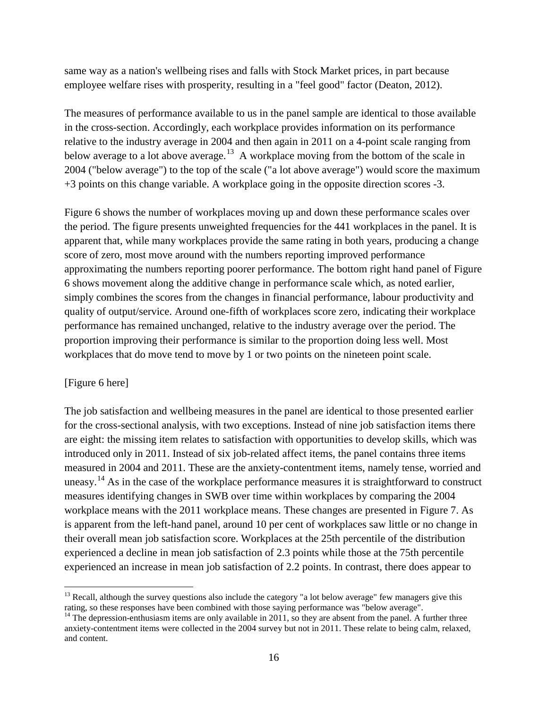same way as a nation's wellbeing rises and falls with Stock Market prices, in part because employee welfare rises with prosperity, resulting in a "feel good" factor (Deaton, 2012).

The measures of performance available to us in the panel sample are identical to those available in the cross-section. Accordingly, each workplace provides information on its performance relative to the industry average in 2004 and then again in 2011 on a 4-point scale ranging from below average to a lot above average.<sup>13</sup> A workplace moving from the bottom of the scale in 2004 ("below average") to the top of the scale ("a lot above average") would score the maximum +3 points on this change variable. A workplace going in the opposite direction scores -3.

[Figure 6](#page-28-0) shows the number of workplaces moving up and down these performance scales over the period. The figure presents unweighted frequencies for the 441 workplaces in the panel. It is apparent that, while many workplaces provide the same rating in both years, producing a change score of zero, most move around with the numbers reporting improved performance approximating the numbers reporting poorer performance. The bottom right hand panel of [Figure](#page-28-0)  [6](#page-28-0) shows movement along the additive change in performance scale which, as noted earlier, simply combines the scores from the changes in financial performance, labour productivity and quality of output/service. Around one-fifth of workplaces score zero, indicating their workplace performance has remained unchanged, relative to the industry average over the period. The proportion improving their performance is similar to the proportion doing less well. Most workplaces that do move tend to move by 1 or two points on the nineteen point scale.

### [\[Figure 6](#page-28-0) here]

The job satisfaction and wellbeing measures in the panel are identical to those presented earlier for the cross-sectional analysis, with two exceptions. Instead of nine job satisfaction items there are eight: the missing item relates to satisfaction with opportunities to develop skills, which was introduced only in 2011. Instead of six job-related affect items, the panel contains three items measured in 2004 and 2011. These are the anxiety-contentment items, namely tense, worried and uneasy.<sup>[14](#page-17-0)</sup> As in the case of the workplace performance measures it is straightforward to construct measures identifying changes in SWB over time within workplaces by comparing the 2004 workplace means with the 2011 workplace means. These changes are presented in [Figure 7.](#page-29-0) As is apparent from the left-hand panel, around 10 per cent of workplaces saw little or no change in their overall mean job satisfaction score. Workplaces at the 25th percentile of the distribution experienced a decline in mean job satisfaction of 2.3 points while those at the 75th percentile experienced an increase in mean job satisfaction of 2.2 points. In contrast, there does appear to

 $13$  Recall, although the survey questions also include the category "a lot below average" few managers give this rating, so these responses have been combined with those saying performance was "below average".

<span id="page-17-1"></span><span id="page-17-0"></span> $14$  The depression-enthusiasm items are only available in 2011, so they are absent from the panel. A further three anxiety-contentment items were collected in the 2004 survey but not in 2011. These relate to being calm, relaxed, and content.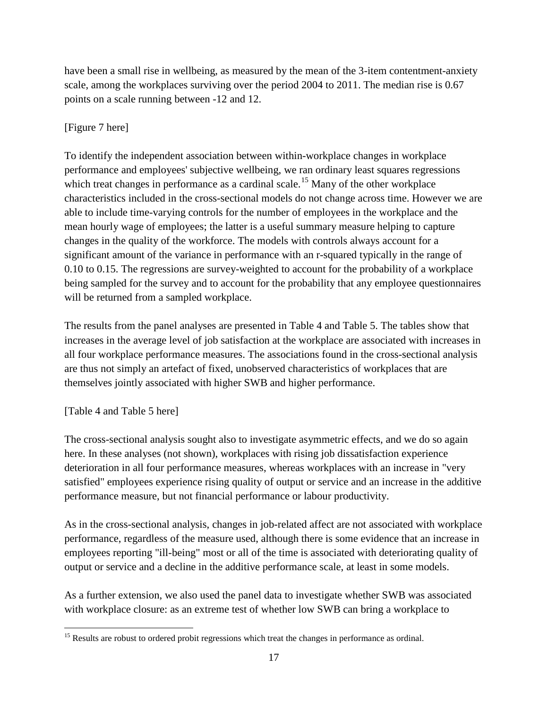have been a small rise in wellbeing, as measured by the mean of the 3-item contentment-anxiety scale, among the workplaces surviving over the period 2004 to 2011. The median rise is 0.67 points on a scale running between -12 and 12.

# [\[Figure 7](#page-29-0) here]

To identify the independent association between within-workplace changes in workplace performance and employees' subjective wellbeing, we ran ordinary least squares regressions which treat changes in performance as a cardinal scale.<sup>[15](#page-17-1)</sup> Many of the other workplace characteristics included in the cross-sectional models do not change across time. However we are able to include time-varying controls for the number of employees in the workplace and the mean hourly wage of employees; the latter is a useful summary measure helping to capture changes in the quality of the workforce. The models with controls always account for a significant amount of the variance in performance with an r-squared typically in the range of 0.10 to 0.15. The regressions are survey-weighted to account for the probability of a workplace being sampled for the survey and to account for the probability that any employee questionnaires will be returned from a sampled workplace.

The results from the panel analyses are presented in [Table 4](#page-33-0) and [Table 5.](#page-34-0) The tables show that increases in the average level of job satisfaction at the workplace are associated with increases in all four workplace performance measures. The associations found in the cross-sectional analysis are thus not simply an artefact of fixed, unobserved characteristics of workplaces that are themselves jointly associated with higher SWB and higher performance.

# [\[Table 4](#page-33-0) and [Table 5](#page-34-0) here]

The cross-sectional analysis sought also to investigate asymmetric effects, and we do so again here. In these analyses (not shown), workplaces with rising job dissatisfaction experience deterioration in all four performance measures, whereas workplaces with an increase in "very satisfied" employees experience rising quality of output or service and an increase in the additive performance measure, but not financial performance or labour productivity.

As in the cross-sectional analysis, changes in job-related affect are not associated with workplace performance, regardless of the measure used, although there is some evidence that an increase in employees reporting "ill-being" most or all of the time is associated with deteriorating quality of output or service and a decline in the additive performance scale, at least in some models.

As a further extension, we also used the panel data to investigate whether SWB was associated with workplace closure: as an extreme test of whether low SWB can bring a workplace to

<span id="page-18-0"></span><sup>&</sup>lt;sup>15</sup> Results are robust to ordered probit regressions which treat the changes in performance as ordinal.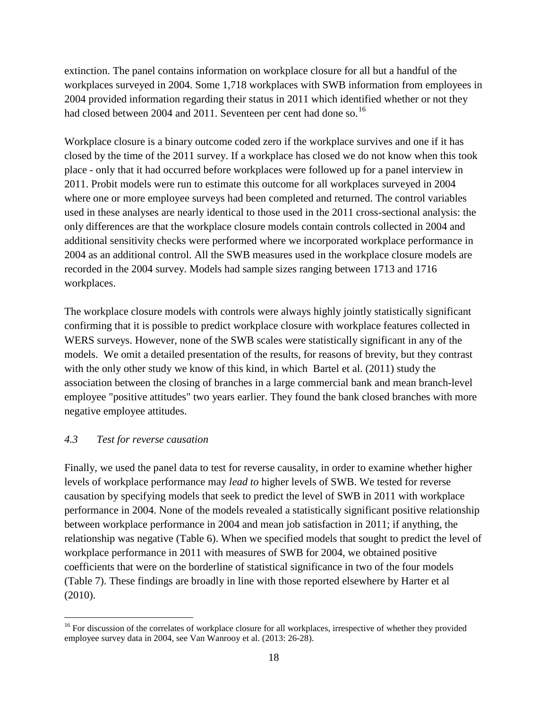extinction. The panel contains information on workplace closure for all but a handful of the workplaces surveyed in 2004. Some 1,718 workplaces with SWB information from employees in 2004 provided information regarding their status in 2011 which identified whether or not they had closed between 2004 and 2011. Seventeen per cent had done so.<sup>[16](#page-18-0)</sup>

Workplace closure is a binary outcome coded zero if the workplace survives and one if it has closed by the time of the 2011 survey. If a workplace has closed we do not know when this took place - only that it had occurred before workplaces were followed up for a panel interview in 2011. Probit models were run to estimate this outcome for all workplaces surveyed in 2004 where one or more employee surveys had been completed and returned. The control variables used in these analyses are nearly identical to those used in the 2011 cross-sectional analysis: the only differences are that the workplace closure models contain controls collected in 2004 and additional sensitivity checks were performed where we incorporated workplace performance in 2004 as an additional control. All the SWB measures used in the workplace closure models are recorded in the 2004 survey. Models had sample sizes ranging between 1713 and 1716 workplaces.

The workplace closure models with controls were always highly jointly statistically significant confirming that it is possible to predict workplace closure with workplace features collected in WERS surveys. However, none of the SWB scales were statistically significant in any of the models. We omit a detailed presentation of the results, for reasons of brevity, but they contrast with the only other study we know of this kind, in which Bartel et al. (2011) study the association between the closing of branches in a large commercial bank and mean branch-level employee "positive attitudes" two years earlier. They found the bank closed branches with more negative employee attitudes.

# *4.3 Test for reverse causation*

Finally, we used the panel data to test for reverse causality, in order to examine whether higher levels of workplace performance may *lead to* higher levels of SWB. We tested for reverse causation by specifying models that seek to predict the level of SWB in 2011 with workplace performance in 2004. None of the models revealed a statistically significant positive relationship between workplace performance in 2004 and mean job satisfaction in 2011; if anything, the relationship was negative [\(Table 6\)](#page-35-0). When we specified models that sought to predict the level of workplace performance in 2011 with measures of SWB for 2004, we obtained positive coefficients that were on the borderline of statistical significance in two of the four models [\(Table 7\)](#page-36-0). These findings are broadly in line with those reported elsewhere by Harter et al (2010).

<sup>&</sup>lt;sup>16</sup> For discussion of the correlates of workplace closure for all workplaces, irrespective of whether they provided employee survey data in 2004, see Van Wanrooy et al. (2013: 26-28).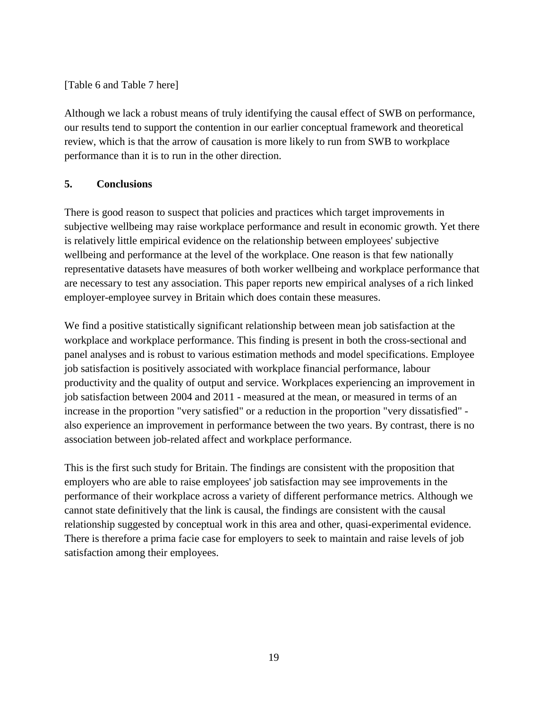# [\[Table 6](#page-35-0) and [Table 7](#page-36-0) here]

Although we lack a robust means of truly identifying the causal effect of SWB on performance, our results tend to support the contention in our earlier conceptual framework and theoretical review, which is that the arrow of causation is more likely to run from SWB to workplace performance than it is to run in the other direction.

# **5. Conclusions**

There is good reason to suspect that policies and practices which target improvements in subjective wellbeing may raise workplace performance and result in economic growth. Yet there is relatively little empirical evidence on the relationship between employees' subjective wellbeing and performance at the level of the workplace. One reason is that few nationally representative datasets have measures of both worker wellbeing and workplace performance that are necessary to test any association. This paper reports new empirical analyses of a rich linked employer-employee survey in Britain which does contain these measures.

We find a positive statistically significant relationship between mean job satisfaction at the workplace and workplace performance. This finding is present in both the cross-sectional and panel analyses and is robust to various estimation methods and model specifications. Employee job satisfaction is positively associated with workplace financial performance, labour productivity and the quality of output and service. Workplaces experiencing an improvement in job satisfaction between 2004 and 2011 - measured at the mean, or measured in terms of an increase in the proportion "very satisfied" or a reduction in the proportion "very dissatisfied" also experience an improvement in performance between the two years. By contrast, there is no association between job-related affect and workplace performance.

This is the first such study for Britain. The findings are consistent with the proposition that employers who are able to raise employees' job satisfaction may see improvements in the performance of their workplace across a variety of different performance metrics. Although we cannot state definitively that the link is causal, the findings are consistent with the causal relationship suggested by conceptual work in this area and other, quasi-experimental evidence. There is therefore a prima facie case for employers to seek to maintain and raise levels of job satisfaction among their employees.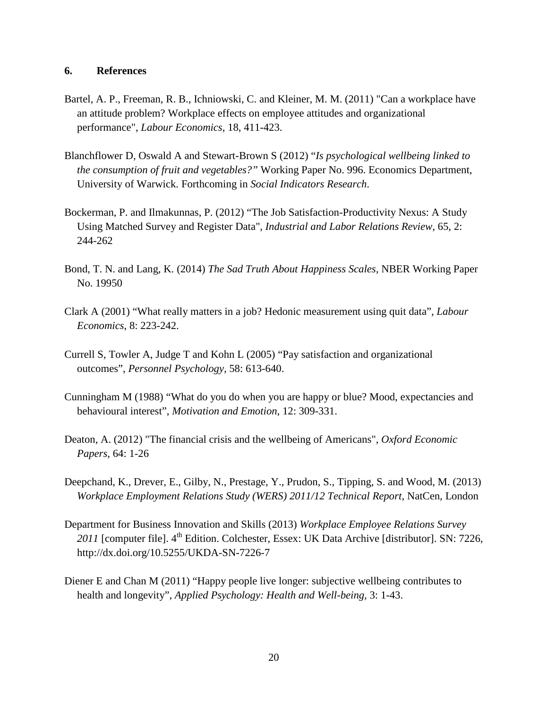#### **6. References**

- Bartel, A. P., Freeman, R. B., Ichniowski, C. and Kleiner, M. M. (2011) "Can a workplace have an attitude problem? Workplace effects on employee attitudes and organizational performance", *Labour Economics*, 18, 411-423.
- Blanchflower D, Oswald A and Stewart-Brown S (2012) "*Is psychological wellbeing linked to the consumption of fruit and vegetables?"* Working Paper No. 996. Economics Department, University of Warwick. Forthcoming in *Social Indicators Research*.
- Bockerman, P. and Ilmakunnas, P. (2012) "The Job Satisfaction-Productivity Nexus: A Study Using Matched Survey and Register Data", *Industrial and Labor Relations Review*, 65, 2: 244-262
- Bond, T. N. and Lang, K. (2014) *The Sad Truth About Happiness Scales*, NBER Working Paper No. 19950
- Clark A (2001) "What really matters in a job? Hedonic measurement using quit data", *Labour Economics*, 8: 223-242.
- Currell S, Towler A, Judge T and Kohn L (2005) "Pay satisfaction and organizational outcomes", *Personnel Psychology,* 58: 613-640.
- Cunningham M (1988) "What do you do when you are happy or blue? Mood, expectancies and behavioural interest", *Motivation and Emotion*, 12: 309-331.
- Deaton, A. (2012) "The financial crisis and the wellbeing of Americans", *Oxford Economic Papers*, 64: 1-26
- Deepchand, K., Drever, E., Gilby, N., Prestage, Y., Prudon, S., Tipping, S. and Wood, M. (2013) *Workplace Employment Relations Study (WERS) 2011/12 Technical Report*, NatCen, London
- Department for Business Innovation and Skills (2013) *Workplace Employee Relations Survey*  2011 [computer file]. 4<sup>th</sup> Edition. Colchester, Essex: UK Data Archive [distributor]. SN: 7226, <http://dx.doi.org/10.5255/UKDA-SN-7226-7>
- Diener E and Chan M (2011) "Happy people live longer: subjective wellbeing contributes to health and longevity", *Applied Psychology: Health and Well-being,* 3: 1-43.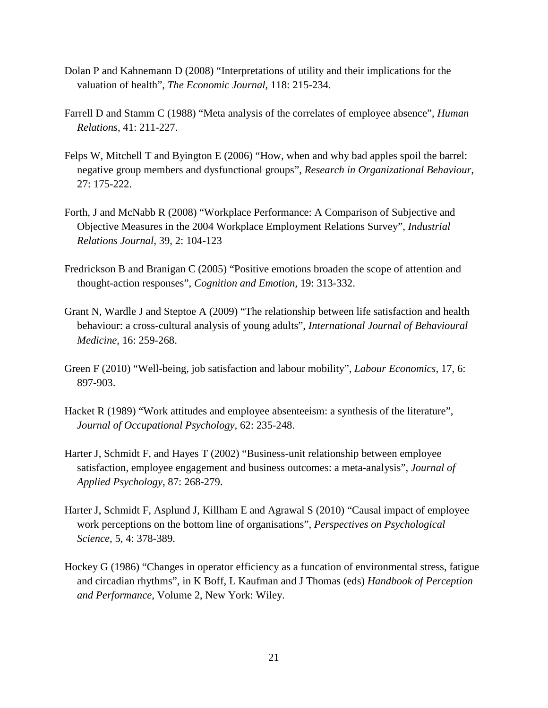- Dolan P and Kahnemann D (2008) "Interpretations of utility and their implications for the valuation of health", *The Economic Journal*, 118: 215-234.
- Farrell D and Stamm C (1988) "Meta analysis of the correlates of employee absence", *Human Relations*, 41: 211-227.
- Felps W, Mitchell T and Byington E (2006) "How, when and why bad apples spoil the barrel: negative group members and dysfunctional groups", *Research in Organizational Behaviour*, 27: 175-222.
- Forth, J and McNabb R (2008) "Workplace Performance: A Comparison of Subjective and Objective Measures in the 2004 Workplace Employment Relations Survey", *Industrial Relations Journal*, 39, 2: 104-123
- Fredrickson B and Branigan C (2005) "Positive emotions broaden the scope of attention and thought-action responses", *Cognition and Emotion,* 19: 313-332.
- Grant N, Wardle J and Steptoe A (2009) "The relationship between life satisfaction and health behaviour: a cross-cultural analysis of young adults", *International Journal of Behavioural Medicine*, 16: 259-268.
- Green F (2010) "Well-being, job satisfaction and labour mobility", *Labour Economics*, 17, 6: 897-903.
- Hacket R (1989) "Work attitudes and employee absenteeism: a synthesis of the literature", *Journal of Occupational Psychology,* 62: 235-248.
- Harter J, Schmidt F, and Hayes T (2002) "Business-unit relationship between employee satisfaction, employee engagement and business outcomes: a meta-analysis", *Journal of Applied Psychology,* 87: 268-279.
- Harter J, Schmidt F, Asplund J, Killham E and Agrawal S (2010) "Causal impact of employee work perceptions on the bottom line of organisations", *Perspectives on Psychological Science,* 5, 4: 378-389.
- Hockey G (1986) "Changes in operator efficiency as a funcation of environmental stress, fatigue and circadian rhythms", in K Boff, L Kaufman and J Thomas (eds) *Handbook of Perception and Performance*, Volume 2, New York: Wiley.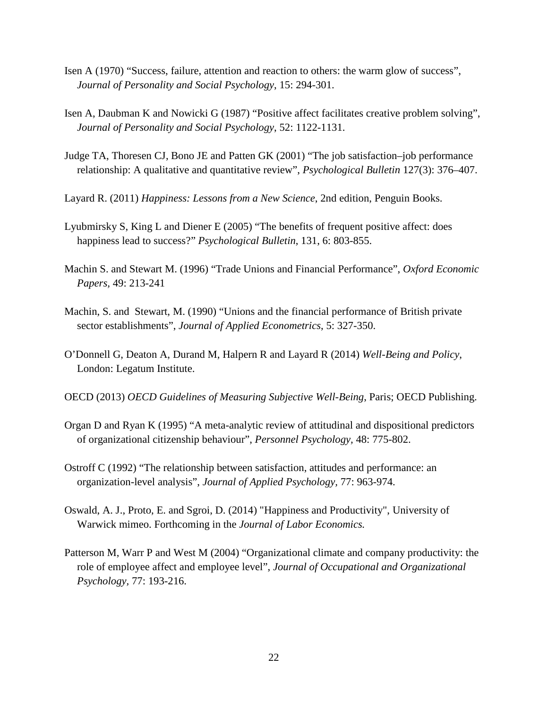- Isen A (1970) "Success, failure, attention and reaction to others: the warm glow of success", *Journal of Personality and Social Psychology*, 15: 294-301.
- Isen A, Daubman K and Nowicki G (1987) "Positive affect facilitates creative problem solving", *Journal of Personality and Social Psychology*, 52: 1122-1131.
- Judge TA, Thoresen CJ, Bono JE and Patten GK (2001) "The job satisfaction–job performance relationship: A qualitative and quantitative review", *Psychological Bulletin* 127(3): 376–407.
- Layard R. (2011) *Happiness: Lessons from a New Science*, 2nd edition, Penguin Books.
- Lyubmirsky S, King L and Diener E (2005) "The benefits of frequent positive affect: does happiness lead to success?" *Psychological Bulletin*, 131, 6: 803-855.
- Machin S. and Stewart M. (1996) "Trade Unions and Financial Performance", *Oxford Economic Papers,* 49: 213-241
- Machin, S. and Stewart, M. (1990) "Unions and the financial performance of British private sector establishments", *Journal of Applied Econometrics*, 5: 327-350.
- O'Donnell G, Deaton A, Durand M, Halpern R and Layard R (2014) *Well-Being and Policy*, London: Legatum Institute.
- OECD (2013) *OECD Guidelines of Measuring Subjective Well-Being*, Paris; OECD Publishing.
- Organ D and Ryan K (1995) "A meta-analytic review of attitudinal and dispositional predictors of organizational citizenship behaviour", *Personnel Psychology,* 48: 775-802.
- Ostroff C (1992) "The relationship between satisfaction, attitudes and performance: an organization-level analysis", *Journal of Applied Psychology,* 77: 963-974.
- Oswald, A. J., Proto, E. and Sgroi, D. (2014) "Happiness and Productivity", University of Warwick mimeo. Forthcoming in the *Journal of Labor Economics.*
- Patterson M, Warr P and West M (2004) "Organizational climate and company productivity: the role of employee affect and employee level", *Journal of Occupational and Organizational Psychology,* 77: 193-216.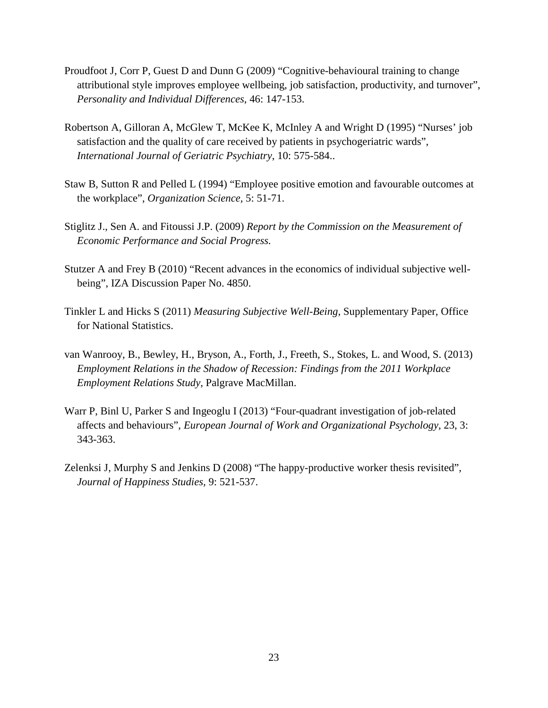- Proudfoot J, Corr P, Guest D and Dunn G (2009) "Cognitive-behavioural training to change attributional style improves employee wellbeing, job satisfaction, productivity, and turnover", *Personality and Individual Differences*, 46: 147-153.
- Robertson A, Gilloran A, McGlew T, McKee K, McInley A and Wright D (1995) "Nurses' job satisfaction and the quality of care received by patients in psychogeriatric wards", *International Journal of Geriatric Psychiatry*, 10: 575-584..
- Staw B, Sutton R and Pelled L (1994) "Employee positive emotion and favourable outcomes at the workplace", *Organization Science,* 5: 51-71.
- Stiglitz J., Sen A. and Fitoussi J.P. (2009) *Report by the Commission on the Measurement of Economic Performance and Social Progress.*
- Stutzer A and Frey B (2010) "Recent advances in the economics of individual subjective wellbeing", IZA Discussion Paper No. 4850.
- Tinkler L and Hicks S (2011) *Measuring Subjective Well-Being*, Supplementary Paper, Office for National Statistics.
- van Wanrooy, B., Bewley, H., Bryson, A., Forth, J., Freeth, S., Stokes, L. and Wood, S. (2013) *Employment Relations in the Shadow of Recession: Findings from the 2011 Workplace Employment Relations Study*, Palgrave MacMillan.
- Warr P, Binl U, Parker S and Ingeoglu I (2013) "Four-quadrant investigation of job-related affects and behaviours", *European Journal of Work and Organizational Psychology*, 23, 3: 343-363.
- Zelenksi J, Murphy S and Jenkins D (2008) "The happy-productive worker thesis revisited", *Journal of Happiness Studies,* 9: 521-537.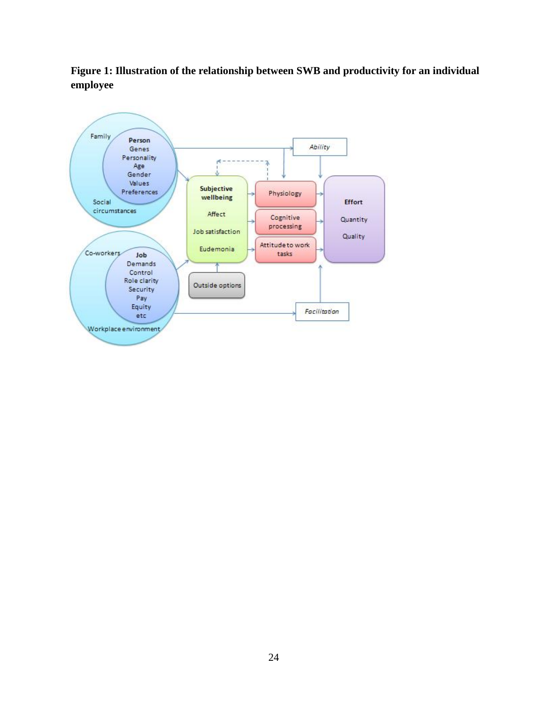<span id="page-25-0"></span>**Figure 1: Illustration of the relationship between SWB and productivity for an individual employee**

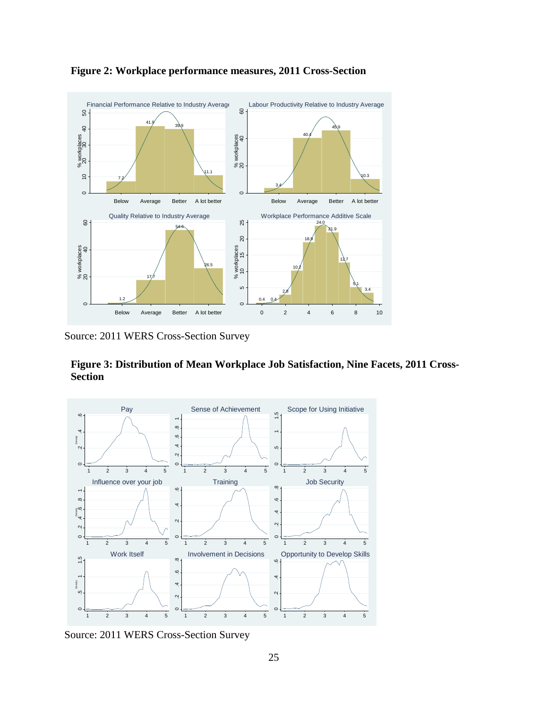

<span id="page-26-0"></span>**Figure 2: Workplace performance measures, 2011 Cross-Section**

Source: 2011 WERS Cross-Section Survey

<span id="page-26-1"></span>**Figure 3: Distribution of Mean Workplace Job Satisfaction, Nine Facets, 2011 Cross-Section**



Source: 2011 WERS Cross-Section Survey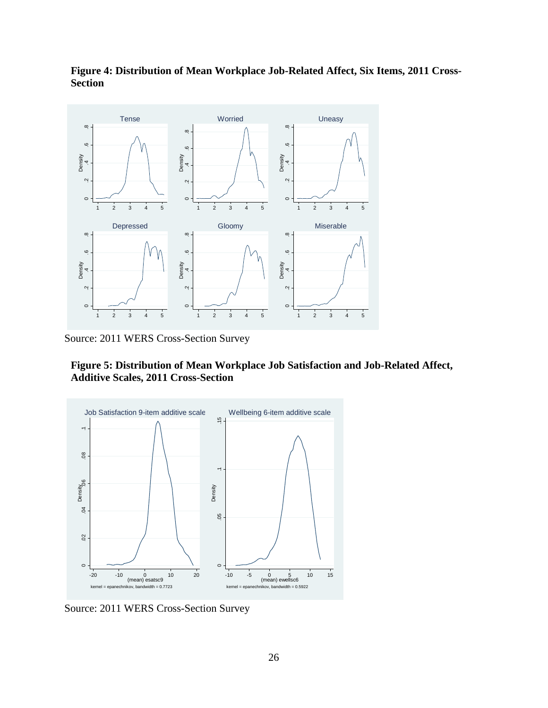

<span id="page-27-0"></span>**Figure 4: Distribution of Mean Workplace Job-Related Affect, Six Items, 2011 Cross-Section**

Source: 2011 WERS Cross-Section Survey

<span id="page-27-1"></span>**Figure 5: Distribution of Mean Workplace Job Satisfaction and Job-Related Affect, Additive Scales, 2011 Cross-Section**



Source: 2011 WERS Cross-Section Survey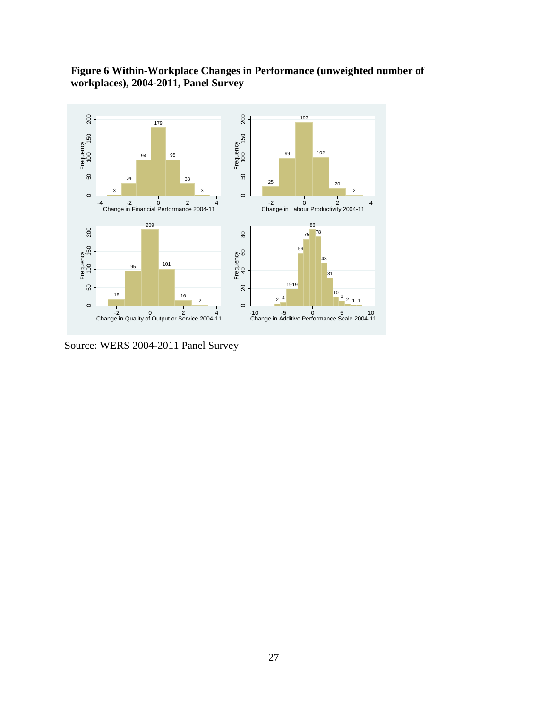# <span id="page-28-0"></span>**Figure 6 Within-Workplace Changes in Performance (unweighted number of workplaces), 2004-2011, Panel Survey**



Source: WERS 2004-2011 Panel Survey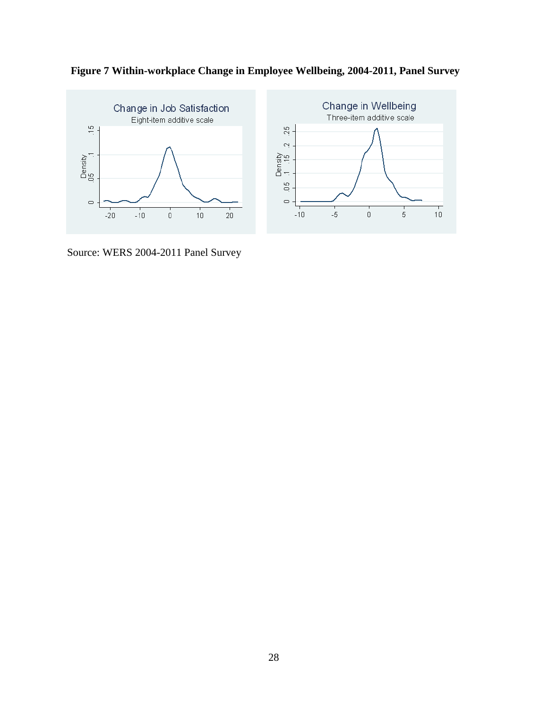

<span id="page-29-0"></span>

Source: WERS 2004-2011 Panel Survey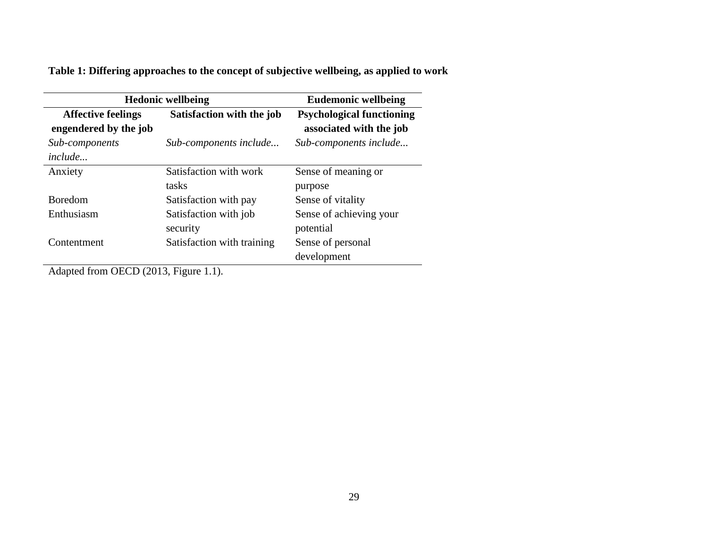**Table 1: Differing approaches to the concept of subjective wellbeing, as applied to work**

| <b>Hedonic wellbeing</b>                           | <b>Eudemonic wellbeing</b>        |                                                             |
|----------------------------------------------------|-----------------------------------|-------------------------------------------------------------|
| <b>Affective feelings</b><br>engendered by the job | Satisfaction with the job         | <b>Psychological functioning</b><br>associated with the job |
| Sub-components<br>include                          | Sub-components include            | Sub-components include                                      |
| Anxiety                                            | Satisfaction with work<br>tasks   | Sense of meaning or<br>purpose                              |
| <b>Boredom</b>                                     | Satisfaction with pay             | Sense of vitality                                           |
| Enthusiasm                                         | Satisfaction with job<br>security | Sense of achieving your<br>potential                        |
| Contentment                                        | Satisfaction with training        | Sense of personal<br>development                            |

Adapted from OECD (2013, Figure 1.1).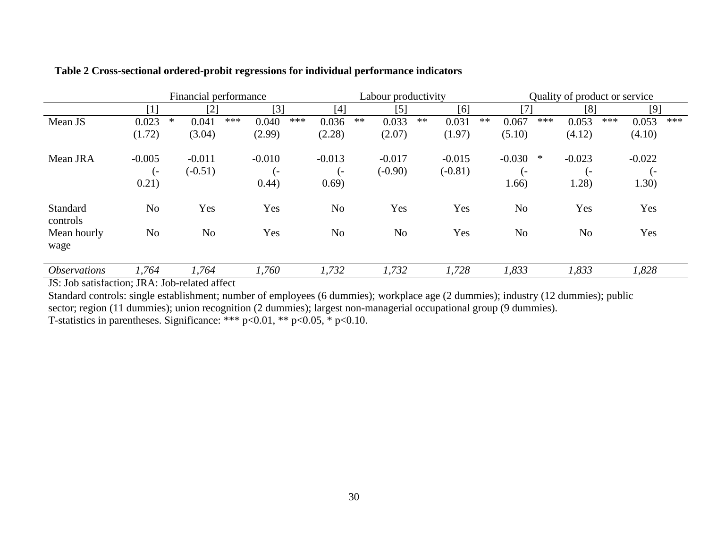|                            | Financial performance |        |                |     | Labour productivity |     |                |      | Quality of product or service |    |           |    |                |     |                  |     |            |     |
|----------------------------|-----------------------|--------|----------------|-----|---------------------|-----|----------------|------|-------------------------------|----|-----------|----|----------------|-----|------------------|-----|------------|-----|
|                            | $[1]$                 |        | [2]            |     | $[3]$               |     | [4]            |      | $[5]$                         |    | [6]       |    | [7]            |     | [8]              |     | [9]        |     |
| Mean JS                    | 0.023                 | $\ast$ | 0.041          | *** | 0.040               | *** | 0.036          | $**$ | 0.033                         | ** | 0.031     | ** | 0.067          | *** | 0.053            | *** | 0.053      | *** |
|                            | (1.72)                |        | (3.04)         |     | (2.99)              |     | (2.28)         |      | (2.07)                        |    | (1.97)    |    | (5.10)         |     | (4.12)           |     | (4.10)     |     |
| Mean JRA                   | $-0.005$              |        | $-0.011$       |     | $-0.010$            |     | $-0.013$       |      | $-0.017$                      |    | $-0.015$  |    | $-0.030$       | ∗   | $-0.023$         |     | $-0.022$   |     |
|                            | . –                   |        | $(-0.51)$      |     | $\overline{a}$      |     | $(-)$          |      | $(-0.90)$                     |    | $(-0.81)$ |    | $\epsilon$     |     | $\overline{(-)}$ |     | $\epsilon$ |     |
|                            | 0.21)                 |        |                |     | 0.44)               |     | 0.69)          |      |                               |    |           |    | 1.66)          |     | 1.28)            |     | 1.30)      |     |
| Standard<br>controls       | N <sub>o</sub>        |        | Yes            |     | Yes                 |     | N <sub>o</sub> |      | Yes                           |    | Yes       |    | N <sub>0</sub> |     | Yes              |     | Yes        |     |
| Mean hourly                | N <sub>o</sub>        |        | N <sub>o</sub> |     | Yes                 |     | N <sub>o</sub> |      | N <sub>o</sub>                |    | Yes       |    | N <sub>o</sub> |     | N <sub>o</sub>   |     | Yes        |     |
| wage                       |                       |        |                |     |                     |     |                |      |                               |    |           |    |                |     |                  |     |            |     |
| <i><b>Observations</b></i> | 1,764                 |        | 1,764          |     | 1,760               |     | 1,732          |      | 1,732                         |    | 1,728     |    | 1,833          |     | 1,833            |     | 1,828      |     |

# **Table 2 Cross-sectional ordered-probit regressions for individual performance indicators**

JS: Job satisfaction; JRA: Job-related affect

Standard controls: single establishment; number of employees (6 dummies); workplace age (2 dummies); industry (12 dummies); public sector; region (11 dummies); union recognition (2 dummies); largest non-managerial occupational group (9 dummies). T-statistics in parentheses. Significance: \*\*\*  $p<0.01$ , \*\*  $p<0.05$ , \*  $p<0.10$ .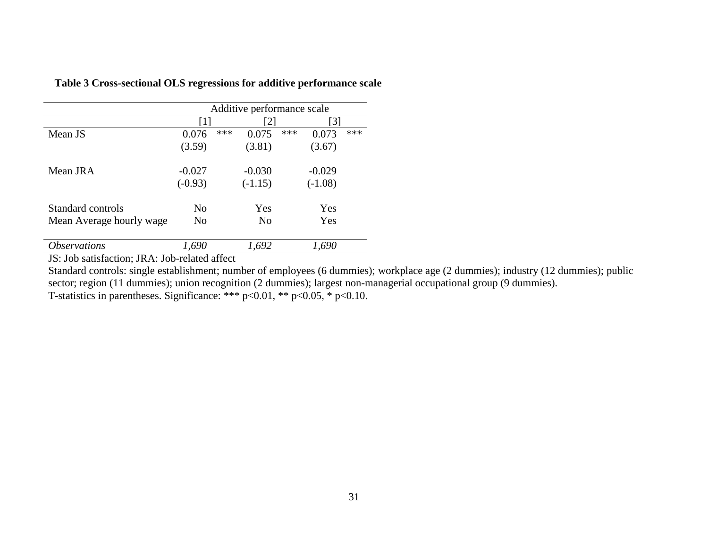|                            | Additive performance scale |     |           |     |           |     |  |  |
|----------------------------|----------------------------|-----|-----------|-----|-----------|-----|--|--|
|                            | $\lceil 1 \rceil$          |     | [2]       |     | [3]       |     |  |  |
| Mean JS                    | 0.076                      | *** | 0.075     | *** | 0.073     | *** |  |  |
|                            | (3.59)                     |     | (3.81)    |     | (3.67)    |     |  |  |
| Mean JRA                   | $-0.027$                   |     | $-0.030$  |     | $-0.029$  |     |  |  |
|                            | $(-0.93)$                  |     | $(-1.15)$ |     | $(-1.08)$ |     |  |  |
| Standard controls          | N <sub>0</sub>             |     | Yes       |     | Yes       |     |  |  |
| Mean Average hourly wage   | N <sub>o</sub>             |     | No        |     | Yes       |     |  |  |
| <i><b>Observations</b></i> | 1,690                      |     | 1,692     |     | 1,690     |     |  |  |

# **Table 3 Cross-sectional OLS regressions for additive performance scale**

<span id="page-32-0"></span>JS: Job satisfaction; JRA: Job-related affect

Standard controls: single establishment; number of employees (6 dummies); workplace age (2 dummies); industry (12 dummies); public sector; region (11 dummies); union recognition (2 dummies); largest non-managerial occupational group (9 dummies). T-statistics in parentheses. Significance: \*\*\*  $p<0.01$ , \*\*  $p<0.05$ , \*  $p<0.10$ .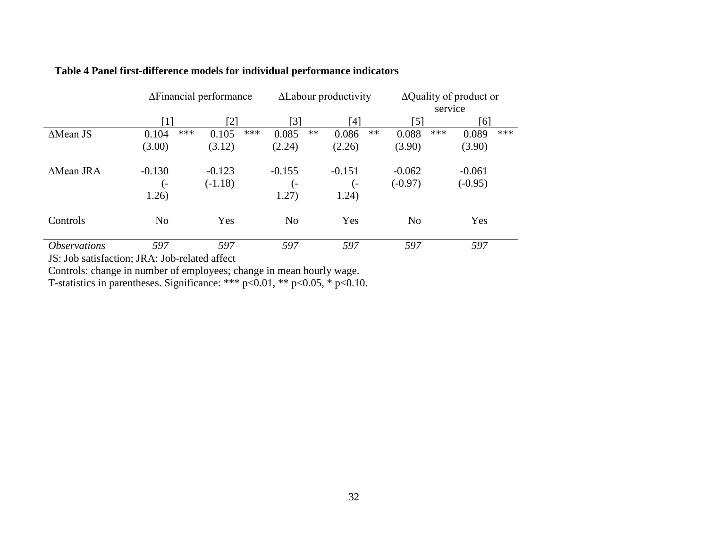|                            |                | ΔFinancial performance |              | <b>ALabour</b> productivity |          |       | $\Delta$ Quality of product or |         |           |     |
|----------------------------|----------------|------------------------|--------------|-----------------------------|----------|-------|--------------------------------|---------|-----------|-----|
|                            |                |                        |              |                             |          |       |                                | service |           |     |
|                            | 711            | $\lceil 2 \rceil$      |              | $\lceil 3 \rceil$           | [4]      |       | [5]                            |         | [6]       |     |
| $\triangle$ Mean JS        | 0.104          | ***<br>0.105           | ***<br>0.085 | $***$                       | 0.086    | $***$ | 0.088                          | ***     | 0.089     | *** |
|                            | (3.00)         | (3.12)                 | (2.24)       |                             | (2.26)   |       | (3.90)                         |         | (3.90)    |     |
| $\triangle$ Mean JRA       | $-0.130$       | $-0.123$               | $-0.155$     |                             | $-0.151$ |       | $-0.062$                       |         | $-0.061$  |     |
|                            | ( –            | $(-1.18)$              |              | l –                         | l –      |       | $(-0.97)$                      |         | $(-0.95)$ |     |
|                            | 1.26)          |                        | 1.27)        |                             | 1.24)    |       |                                |         |           |     |
| Controls                   | N <sub>o</sub> | Yes                    |              | No                          | Yes      |       | N <sub>o</sub>                 |         | Yes       |     |
| <i><b>Observations</b></i> | 597            | 597                    |              | 597                         | 597      |       | 597                            |         | 597       |     |

# **Table 4 Panel first-difference models for individual performance indicators**

<span id="page-33-0"></span>JS: Job satisfaction; JRA: Job-related affect

Controls: change in number of employees; change in mean hourly wage.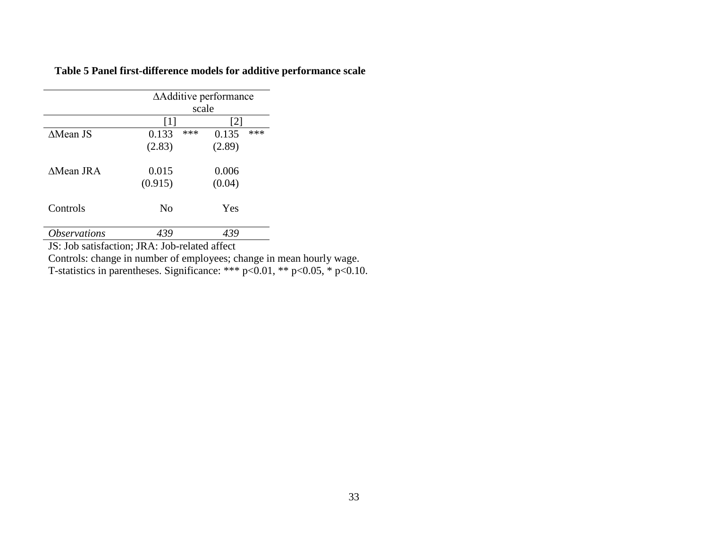|                            | ΔAdditive performance<br>scale                                                                                                                                               |              |  |  |  |  |
|----------------------------|------------------------------------------------------------------------------------------------------------------------------------------------------------------------------|--------------|--|--|--|--|
|                            | $[1] % \includegraphics[width=0.9\columnwidth]{figures/fig_10.pdf} \caption{The figure shows the number of times of the estimators in the left and right.} \label{fig:time}$ | [2]          |  |  |  |  |
| $\triangle$ Mean JS        | ***<br>0.133                                                                                                                                                                 | ***<br>0.135 |  |  |  |  |
|                            | (2.83)                                                                                                                                                                       | (2.89)       |  |  |  |  |
| <b>AMean JRA</b>           | 0.015                                                                                                                                                                        | 0.006        |  |  |  |  |
|                            | (0.915)                                                                                                                                                                      | (0.04)       |  |  |  |  |
| Controls                   | N <sub>0</sub>                                                                                                                                                               | Yes          |  |  |  |  |
| <i><b>Observations</b></i> | 439                                                                                                                                                                          | 439          |  |  |  |  |

**Table 5 Panel first-difference models for additive performance scale**

<span id="page-34-0"></span>JS: Job satisfaction; JRA: Job-related affect

Controls: change in number of employees; change in mean hourly wage.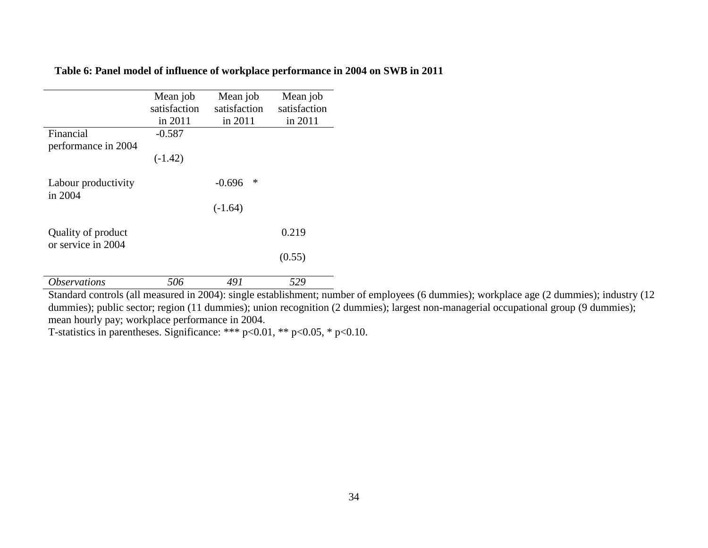# **Table 6: Panel model of influence of workplace performance in 2004 on SWB in 2011**

|                                          | Mean job<br>satisfaction<br>in 2011 | Mean job<br>satisfaction<br>in 2011 | Mean job<br>satisfaction<br>in 2011 |
|------------------------------------------|-------------------------------------|-------------------------------------|-------------------------------------|
| Financial<br>performance in 2004         | $-0.587$<br>$(-1.42)$               |                                     |                                     |
| Labour productivity<br>in 2004           |                                     | ∗<br>$-0.696$<br>$(-1.64)$          |                                     |
| Quality of product<br>or service in 2004 |                                     |                                     | 0.219<br>(0.55)                     |
| <i><b>Observations</b></i>               | 506                                 | 491                                 | 529                                 |

<span id="page-35-0"></span>Standard controls (all measured in 2004): single establishment; number of employees (6 dummies); workplace age (2 dummies); industry (12 dummies); public sector; region (11 dummies); union recognition (2 dummies); largest non-managerial occupational group (9 dummies); mean hourly pay; workplace performance in 2004.